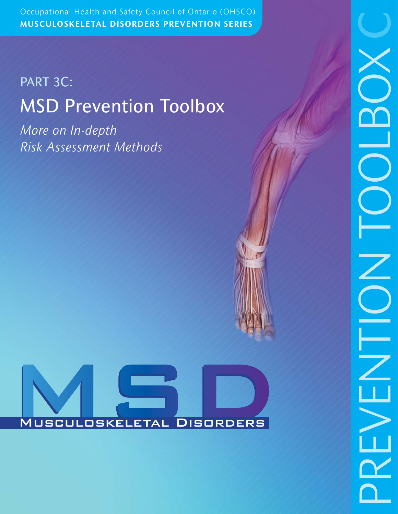Occupational Health and Safety Council of Ontario (OHSCO) Occupational Health and Safety Council of Ontario (OHSCO) **MUSCULOSKELETAL DISORDERS PREVENTION SERIES**

# PART 3C: MSD Prevention Toolbox

*More on In-depth Risk Assessment Methods*

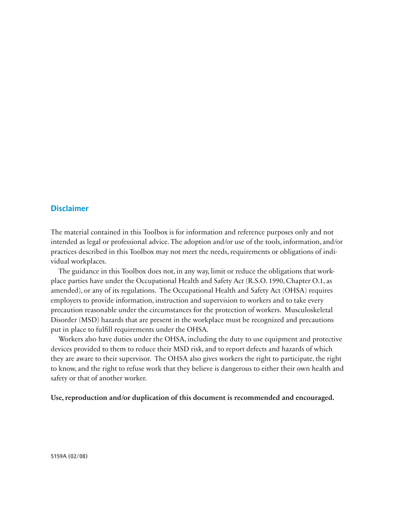### **Disclaimer**

The material contained in this Toolbox is for information and reference purposes only and not intended as legal or professional advice. The adoption and/or use of the tools, information, and/or practices described in this Toolbox may not meet the needs, requirements or obligations of individual workplaces.

The guidance in this Toolbox does not, in any way, limit or reduce the obligations that workplace parties have under the Occupational Health and Safety Act (R.S.O. 1990, Chapter O.1, as amended), or any of its regulations. The Occupational Health and Safety Act (OHSA) requires employers to provide information, instruction and supervision to workers and to take every precaution reasonable under the circumstances for the protection of workers. Musculoskeletal Disorder (MSD) hazards that are present in the workplace must be recognized and precautions put in place to fulfill requirements under the OHSA.

Workers also have duties under the OHSA, including the duty to use equipment and protective devices provided to them to reduce their MSD risk, and to report defects and hazards of which they are aware to their supervisor. The OHSA also gives workers the right to participate, the right to know, and the right to refuse work that they believe is dangerous to either their own health and safety or that of another worker.

**Use, reproduction and/or duplication of this document is recommended and encouraged.**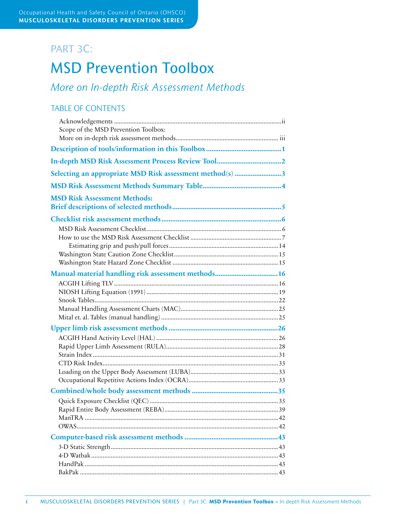# PART 3C:

# MSD Prevention Toolbox

*More on In-depth Risk Assessment Methods*

## TABLE OF CONTENTS

| Scope of the MSD Prevention Toolbox:                     |
|----------------------------------------------------------|
|                                                          |
|                                                          |
| Selecting an appropriate MSD Risk assessment method(s) 3 |
|                                                          |
| <b>MSD Risk Assessment Methods:</b>                      |
|                                                          |
|                                                          |
|                                                          |
| Manual material handling risk assessment methods 16      |
|                                                          |
|                                                          |
|                                                          |
|                                                          |
|                                                          |
|                                                          |
|                                                          |
|                                                          |
|                                                          |
|                                                          |
|                                                          |
|                                                          |
|                                                          |
|                                                          |
|                                                          |
|                                                          |
|                                                          |
|                                                          |
|                                                          |
|                                                          |
|                                                          |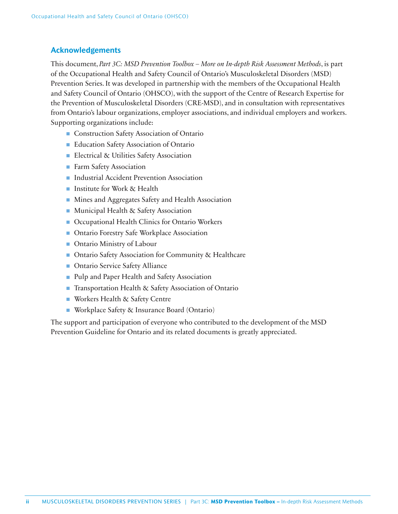### **Acknowledgements**

This document, *Part 3C: MSD Prevention Toolbox – More on In-depth Risk Assessment Methods*, is part of the Occupational Health and Safety Council of Ontario's Musculoskeletal Disorders (MSD) Prevention Series. It was developed in partnership with the members of the Occupational Health and Safety Council of Ontario (OHSCO), with the support of the Centre of Research Expertise for the Prevention of Musculoskeletal Disorders (CRE-MSD), and in consultation with representatives from Ontario's labour organizations, employer associations, and individual employers and workers. Supporting organizations include:

- Construction Safety Association of Ontario
- Education Safety Association of Ontario
- Electrical & Utilities Safety Association
- Farm Safety Association
- Industrial Accident Prevention Association
- Institute for Work & Health
- Mines and Aggregates Safety and Health Association
- Municipal Health & Safety Association
- Occupational Health Clinics for Ontario Workers
- Ontario Forestry Safe Workplace Association
- Ontario Ministry of Labour
- Ontario Safety Association for Community & Healthcare
- Ontario Service Safety Alliance
- Pulp and Paper Health and Safety Association
- Transportation Health & Safety Association of Ontario
- Workers Health & Safety Centre
- Workplace Safety & Insurance Board (Ontario)

The support and participation of everyone who contributed to the development of the MSD Prevention Guideline for Ontario and its related documents is greatly appreciated.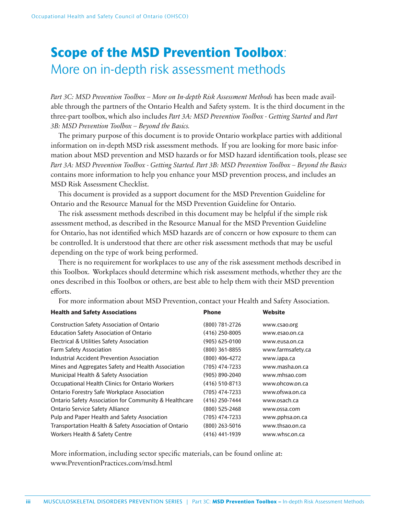# **Scope of the MSD Prevention Toolbox**: More on in-depth risk assessment methods

*Part 3C: MSD Prevention Toolbox – More on In-depth Risk Assessment Methods* has been made available through the partners of the Ontario Health and Safety system. It is the third document in the three-part toolbox, which also includes *Part 3A: MSD Prevention Toolbox - Getting Started* and *Part 3B: MSD Prevention Toolbox – Beyond the Basics.*

The primary purpose of this document is to provide Ontario workplace parties with additional information on in-depth MSD risk assessment methods. If you are looking for more basic information about MSD prevention and MSD hazards or for MSD hazard identification tools, please see *Part 3A: MSD Prevention Toolbox - Getting Started. Part 3B: MSD Prevention Toolbox – Beyond the Basics*  contains more information to help you enhance your MSD prevention process, and includes an MSD Risk Assessment Checklist.

This document is provided as a support document for the MSD Prevention Guideline for Ontario and the Resource Manual for the MSD Prevention Guideline for Ontario.

The risk assessment methods described in this document may be helpful if the simple risk assessment method, as described in the Resource Manual for the MSD Prevention Guideline for Ontario, has not identified which MSD hazards are of concern or how exposure to them can be controlled. It is understood that there are other risk assessment methods that may be useful depending on the type of work being performed.

There is no requirement for workplaces to use any of the risk assessment methods described in this Toolbox. Workplaces should determine which risk assessment methods, whether they are the ones described in this Toolbox or others, are best able to help them with their MSD prevention efforts.

For more information about MSD Prevention, contact your Health and Safety Association.

| <b>Health and Safety Associations</b>                            | <b>Phone</b>       | Website           |
|------------------------------------------------------------------|--------------------|-------------------|
| <b>Construction Safety Association of Ontario</b>                | $(800)$ 781-2726   | www.csao.org      |
| <b>Education Safety Association of Ontario</b>                   | $(416)$ 250-8005   | www.esao.on.ca    |
| Electrical & Utilities Safety Association                        | $(905)$ 625-0100   | www.eusa.on.ca    |
| <b>Farm Safety Association</b>                                   | $(800)$ 361-8855   | www.farmsafety.ca |
| Industrial Accident Prevention Association                       | $(800)$ 406-4272   | www.iapa.ca       |
| Mines and Aggregates Safety and Health Association               | (705) 474-7233     | www.masha.on.ca   |
| Municipal Health & Safety Association                            | $(905) 890 - 2040$ | www.mhsao.com     |
| Occupational Health Clinics for Ontario Workers                  | $(416)$ 510-8713   | www.ohcow.on.ca   |
| <b>Ontario Forestry Safe Workplace Association</b>               | $(705)$ 474-7233   | www.ofswa.on.ca   |
| <b>Ontario Safety Association for Community &amp; Healthcare</b> | $(416)$ 250-7444   | www.osach.ca      |
| <b>Ontario Service Safety Alliance</b>                           | $(800)$ 525-2468   | www.ossa.com      |
| Pulp and Paper Health and Safety Association                     | $(705)$ 474-7233   | www.pphsa.on.ca   |
| Transportation Health & Safety Association of Ontario            | $(800)$ 263-5016   | www.thsao.on.ca   |
| Workers Health & Safety Centre                                   | $(416)$ 441-1939   | www.whsc.on.ca    |

More information, including sector specific materials, can be found online at: www.PreventionPractices.com/msd.html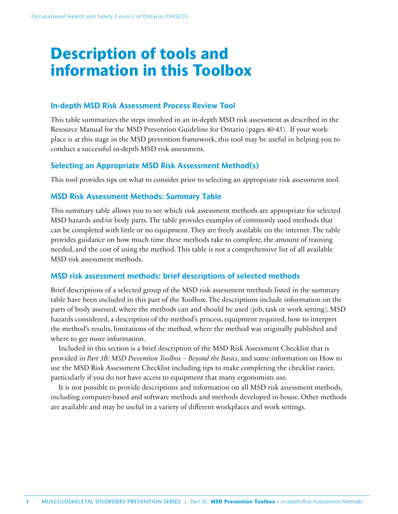# **Description of tools and information in this Toolbox**

### **In-depth MSD Risk Assessment Process Review Tool**

This table summarizes the steps involved in an in-depth MSD risk assessment as described in the Resource Manual for the MSD Prevention Guideline for Ontario (pages 40-45). If your workplace is at this stage in the MSD prevention framework, this tool may be useful in helping you to conduct a successful in-depth MSD risk assessment.

### **Selecting an Appropriate MSD Risk Assessment Method(s)**

This tool provides tips on what to consider prior to selecting an appropriate risk assessment tool.

### **MSD Risk Assessment Methods: Summary Table**

This summary table allows you to see which risk assessment methods are appropriate for selected MSD hazards and/or body parts. The table provides examples of commonly used methods that can be completed with little or no equipment. They are freely available on the internet. The table provides guidance on how much time these methods take to complete, the amount of training needed, and the cost of using the method. This table is not a comprehensive list of all available MSD risk assessment methods.

### **MSD risk assessment methods: brief descriptions of selected methods**

Brief descriptions of a selected group of the MSD risk assessment methods listed in the summary table have been included in this part of the Toolbox. The descriptions include information on the parts of body assessed, where the methods can and should be used (job, task or work setting), MSD hazards considered, a description of the method's process, equipment required, how to interpret the method's results, limitations of the method, where the method was originally published and where to get more information.

Included in this section is a brief description of the MSD Risk Assessment Checklist that is provided in *Part 3B: MSD Prevention Toolbox – Beyond the Basics*, and some information on How to use the MSD Risk Assessment Checklist including tips to make completing the checklist easier, particularly if you do not have access to equipment that many ergonomists use.

It is not possible to provide descriptions and information on all MSD risk assessment methods, including computer-based and software methods and methods developed in-house. Other methods are available and may be useful in a variety of different workplaces and work settings.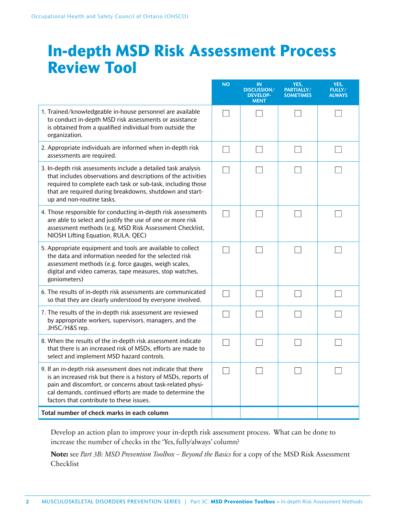# **In-depth MSD Risk Assessment Process Review Tool**

|                                                                                                                                                                                                                                                                                                         | <b>NO</b> | <b>IN</b><br><b>DISCUSSION/</b><br><b>DEVELOP-</b><br><b>MENT</b> | YES,<br>PARTIALLY/<br><b>SOMETIMES</b> | YES,<br><b>FULLY/</b><br><b>ALWAYS</b> |
|---------------------------------------------------------------------------------------------------------------------------------------------------------------------------------------------------------------------------------------------------------------------------------------------------------|-----------|-------------------------------------------------------------------|----------------------------------------|----------------------------------------|
| 1. Trained/knowledgeable in-house personnel are available<br>to conduct in-depth MSD risk assessments or assistance<br>is obtained from a qualified individual from outside the<br>organization.                                                                                                        |           |                                                                   |                                        |                                        |
| 2. Appropriate individuals are informed when in-depth risk<br>assessments are required.                                                                                                                                                                                                                 |           |                                                                   |                                        |                                        |
| 3. In-depth risk assessments include a detailed task analysis<br>that includes observations and descriptions of the activities<br>required to complete each task or sub-task, including those<br>that are required during breakdowns, shutdown and start-<br>up and non-routine tasks.                  |           |                                                                   |                                        |                                        |
| 4. Those responsible for conducting in-depth risk assessments<br>are able to select and justify the use of one or more risk<br>assessment methods (e.g. MSD Risk Assessment Checklist,<br>NIOSH Lifting Equation, RULA, QEC)                                                                            |           |                                                                   |                                        |                                        |
| 5. Appropriate equipment and tools are available to collect<br>the data and information needed for the selected risk<br>assessment methods (e.g. force gauges, weigh scales,<br>digital and video cameras, tape measures, stop watches,<br>goniometers)                                                 |           |                                                                   |                                        |                                        |
| 6. The results of in-depth risk assessments are communicated<br>so that they are clearly understood by everyone involved.                                                                                                                                                                               |           |                                                                   |                                        |                                        |
| 7. The results of the in-depth risk assessment are reviewed<br>by appropriate workers, supervisors, managers, and the<br>JHSC/H&S rep.                                                                                                                                                                  |           |                                                                   |                                        |                                        |
| 8. When the results of the in-depth risk assessment indicate<br>that there is an increased risk of MSDs, efforts are made to<br>select and implement MSD hazard controls.                                                                                                                               |           |                                                                   |                                        |                                        |
| 9. If an in-depth risk assessment does not indicate that there<br>is an increased risk but there is a history of MSDs, reports of<br>pain and discomfort, or concerns about task-related physi-<br>cal demands, continued efforts are made to determine the<br>factors that contribute to these issues. | ப         |                                                                   |                                        |                                        |
| Total number of check marks in each column                                                                                                                                                                                                                                                              |           |                                                                   |                                        |                                        |

Develop an action plan to improve your in-depth risk assessment process. What can be done to increase the number of checks in the 'Yes, fully/always' column?

**Note:** see *Part 3B: MSD Prevention Toolbox – Beyond the Basics* for a copy of the MSD Risk Assessment Checklist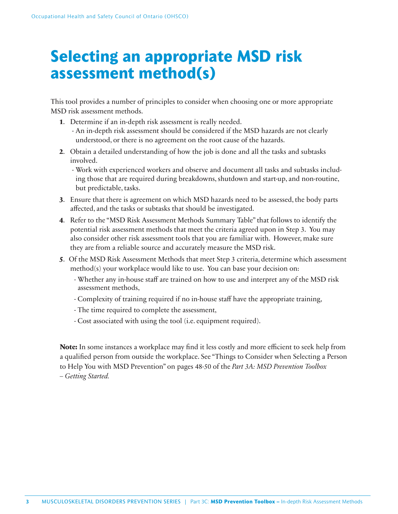# **Selecting an appropriate MSD risk assessment method(s)**

This tool provides a number of principles to consider when choosing one or more appropriate MSD risk assessment methods.

- **1**. Determine if an in-depth risk assessment is really needed.
	- An in-depth risk assessment should be considered if the MSD hazards are not clearly understood, or there is no agreement on the root cause of the hazards.
- **2**. Obtain a detailed understanding of how the job is done and all the tasks and subtasks involved.
	- Work with experienced workers and observe and document all tasks and subtasks including those that are required during breakdowns, shutdown and start-up, and non-routine, but predictable, tasks.
- **3**. Ensure that there is agreement on which MSD hazards need to be assessed, the body parts affected, and the tasks or subtasks that should be investigated.
- **4**. Refer to the "MSD Risk Assessment Methods Summary Table" that follows to identify the potential risk assessment methods that meet the criteria agreed upon in Step 3. You may also consider other risk assessment tools that you are familiar with. However, make sure they are from a reliable source and accurately measure the MSD risk.
- **5**. Of the MSD Risk Assessment Methods that meet Step 3 criteria, determine which assessment method(s) your workplace would like to use. You can base your decision on:
	- Whether any in-house staff are trained on how to use and interpret any of the MSD risk assessment methods,
	- Complexity of training required if no in-house staff have the appropriate training,
	- The time required to complete the assessment,
	- Cost associated with using the tool (i.e. equipment required).

**Note:** In some instances a workplace may find it less costly and more efficient to seek help from a qualified person from outside the workplace. See "Things to Consider when Selecting a Person to Help You with MSD Prevention" on pages 48-50 of the *Part 3A: MSD Prevention Toolbox – Getting Started.*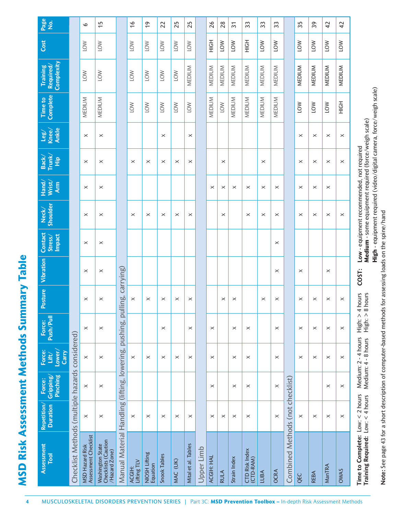| l |
|---|
|   |
| l |

| ᅀ<br>Push/Pull<br>Force:<br>Lower/<br>Force:<br>Carry<br>Lift/<br><b>Pinching</b><br>Gripping<br>Force:<br>Repetition/<br><b>Duration</b><br><b>Assessment</b><br><b>Tool</b> | Checklist Methods (multiple hazards considered) | $\times$<br>$\times$<br>$\times$<br>$\times$<br>Assessment Checklist<br><b>MSD Hazard Risk</b> | $\times$<br>$\times$<br>$\times$<br>$\times$<br>Checklists (Caution<br><b>Washington State</b><br>/Hazard Zone) | pulli<br>pushing,<br>lowering,<br>Manual Material Handling (lifting, | $\times$<br>$\boldsymbol{\times}$<br>Lifting TLV<br>ACGIH: | $\times$<br>$\boldsymbol{\times}$<br>NIOSH Lifting<br>Equation | $\times$<br>$\times$<br>$\times$<br>Snook Tables | $\times$<br>$\times$<br>MAC (UK) | $\boldsymbol{\times}$<br>$\times$<br>$\boldsymbol{\times}$<br>Mital et al. Tables | Upper Limb | $\times$<br>$\times$<br>$\times$<br>$\times$<br>ACGIH: HAL | $\times$<br><b>RULA</b> | $\boldsymbol{\times}$<br>$\boldsymbol{\times}$<br>$\times$<br>$\times$<br>Strain Index | $\times$<br>$\times$<br>$\times$<br>$\times$<br>CTD Risk Index<br>(CTD-RAM) | LUBA     | $\times$<br>$\times$<br>$\times$<br>$\times$<br><b>OCRA</b> | checklist)<br>(not<br><b>Combined Methods</b> | $\times$<br>$\times$<br>$\boldsymbol{\times}$<br>QEC | $\times$<br>$\times$<br>$\times$<br><b>REBA</b> | $\times$<br>$\times$<br>$\boldsymbol{\times}$<br>$\times$<br>ManTRA |    |
|-------------------------------------------------------------------------------------------------------------------------------------------------------------------------------|-------------------------------------------------|------------------------------------------------------------------------------------------------|-----------------------------------------------------------------------------------------------------------------|----------------------------------------------------------------------|------------------------------------------------------------|----------------------------------------------------------------|--------------------------------------------------|----------------------------------|-----------------------------------------------------------------------------------|------------|------------------------------------------------------------|-------------------------|----------------------------------------------------------------------------------------|-----------------------------------------------------------------------------|----------|-------------------------------------------------------------|-----------------------------------------------|------------------------------------------------------|-------------------------------------------------|---------------------------------------------------------------------|----|
| Vibration<br>osture                                                                                                                                                           |                                                 | $\times$<br>$\times$                                                                           | $\times$<br>$\times$                                                                                            | carrying)<br>áq                                                      | $\times$                                                   | $\times$                                                       | $\times$                                         | $\times$                         | $\times$                                                                          |            |                                                            | $\times$                | $\times$                                                                               |                                                                             | $\times$ | $\times$<br>$\times$                                        |                                               | $\times$<br>$\times$                                 | $\times$                                        | $\times$<br>$\times$                                                |    |
| Contact<br><b>Impact</b><br>Stress/                                                                                                                                           |                                                 | $\times$                                                                                       | $\times$                                                                                                        |                                                                      |                                                            |                                                                |                                                  |                                  |                                                                                   |            |                                                            |                         |                                                                                        |                                                                             |          | $\times$                                                    |                                               |                                                      |                                                 |                                                                     |    |
| <b>Shoulder</b><br>Neck/                                                                                                                                                      |                                                 | $\times$                                                                                       | $\times$                                                                                                        |                                                                      | $\times$                                                   | $\times$                                                       | $\times$                                         | ×                                | $\times$                                                                          |            |                                                            | $\times$                |                                                                                        | $\times$                                                                    | $\times$ | $\times$                                                    |                                               | $\times$                                             | $\times$                                        | $\times$                                                            |    |
| Wrist/<br>Hand/<br><b>Arm</b>                                                                                                                                                 |                                                 | $\times$                                                                                       | $\times$                                                                                                        |                                                                      |                                                            |                                                                |                                                  |                                  |                                                                                   |            | $\times$                                                   | $\times$                | $\times$                                                                               | $\times$                                                                    | $\times$ | $\times$                                                    |                                               | $\times$                                             | $\times$                                        | $\times$                                                            |    |
| Trunk/<br>Back/<br>Ê                                                                                                                                                          |                                                 | $\times$                                                                                       | $\times$                                                                                                        |                                                                      | $\times$                                                   | $\times$                                                       | $\times$                                         | $\times$                         | $\times$                                                                          |            |                                                            | $\times$                |                                                                                        |                                                                             | $\times$ |                                                             |                                               | $\times$                                             | $\times$                                        | $\times$                                                            |    |
| Ankle<br>Knee/<br>leg/                                                                                                                                                        |                                                 | $\times$                                                                                       | $\times$                                                                                                        |                                                                      |                                                            |                                                                | $\times$                                         |                                  | $\times$                                                                          |            |                                                            |                         |                                                                                        |                                                                             |          |                                                             |                                               | $\times$                                             | $\times$                                        | $\times$                                                            |    |
| Complete<br>Time to                                                                                                                                                           |                                                 | MEDIUM                                                                                         | MEDIUM                                                                                                          |                                                                      | <b>NO1</b>                                                 | <b>NOT</b>                                                     | <b>NOT</b>                                       | <b>NO1</b>                       | <b>NOT</b>                                                                        |            | MEDIUM                                                     | <b>NOT</b>              | MEDIUM                                                                                 | MEDIUM                                                                      | MEDIUM   | MEDIUM                                                      |                                               | <b>NOT</b>                                           | LOW                                             | <b>NOT</b>                                                          |    |
| Complexity<br>Required/<br><b>Training</b>                                                                                                                                    |                                                 | <b>NO</b>                                                                                      | <b>NOT</b>                                                                                                      |                                                                      | <b>NOT</b>                                                 | $\leq$                                                         | <b>NOT</b>                                       | <b>NO1</b>                       | MEDIUM                                                                            |            | MEDIUM                                                     | MEDIUM                  | MEDIUM                                                                                 | MEDIUM                                                                      | MEDIUM   | MEDIUM                                                      |                                               | MEDIUM                                               | <b>MEDIUM</b>                                   | MEDIUM                                                              |    |
| Cost                                                                                                                                                                          |                                                 | <b>NOT</b>                                                                                     | <b>NOT</b>                                                                                                      |                                                                      | <b>NO1</b>                                                 | $\leq$                                                         | <b>NOT</b>                                       | <b>NO1</b>                       | <b>NOT</b>                                                                        |            | H <sub>OH</sub>                                            | <b>NOT</b>              | <b>NOT</b>                                                                             | HộH                                                                         | $\leq$   | <b>NO1</b>                                                  |                                               | <b>NOT</b>                                           | <b>NOT</b>                                      | <b>NOT</b>                                                          |    |
| Page<br>$\frac{1}{2}$                                                                                                                                                         |                                                 | $\circ$                                                                                        | $\overline{1}$                                                                                                  |                                                                      | $\frac{6}{1}$                                              | $\frac{6}{1}$                                                  | 22                                               | 25                               | 25                                                                                |            | 26                                                         | 28                      | $\overline{3}$                                                                         | 33                                                                          | 33       | 33                                                          |                                               | 35                                                   | 39                                              | $\overline{4}$                                                      | 42 |

High - equipment required (video/digital camera, force/weigh scale)  **High** - equipment required (video/digital camera, force/weigh scale) Note: See page 43 for a short description of computer-based methods for assessing loads on the spine/hand **Note:** See page 43 for a short description of computer-based methods for assessing loads on the spine/hand

**Training Required:** Low: < 4 hours Medium: 4 - 8 hours High: > 8 hours

 **Medium** - some equipment required (force/weigh scale)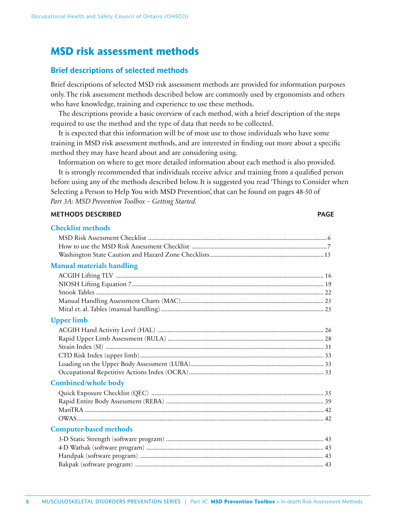# **MSD risk assessment methods**

### **Brief descriptions of selected methods**

Brief descriptions of selected MSD risk assessment methods are provided for information purposes only. The risk assessment methods described below are commonly used by ergonomists and others who have knowledge, training and experience to use these methods.

The descriptions provide a basic overview of each method, with a brief description of the steps required to use the method and the type of data that needs to be collected.

It is expected that this information will be of most use to those individuals who have some training in MSD risk assessment methods, and are interested in finding out more about a specific method they may have heard about and are considering using.

Information on where to get more detailed information about each method is also provided.

It is strongly recommended that individuals receive advice and training from a qualified person before using any of the methods described below. It is suggested you read 'Things to Consider when Selecting a Person to Help You with MSD Prevention', that can be found on pages 48-50 of *Part 3A: MSD Prevention Toolbox – Getting Started.*

### **METHODS DESCRIBED PAGE**

| <b>Checklist methods</b>         |  |
|----------------------------------|--|
|                                  |  |
|                                  |  |
|                                  |  |
| <b>Manual materials handling</b> |  |
|                                  |  |
|                                  |  |
|                                  |  |
|                                  |  |
|                                  |  |
| <b>Upper limb</b>                |  |
|                                  |  |
|                                  |  |
|                                  |  |
|                                  |  |
|                                  |  |
|                                  |  |
| <b>Combined/whole body</b>       |  |
|                                  |  |
|                                  |  |
|                                  |  |
|                                  |  |
| <b>Computer-based methods</b>    |  |
|                                  |  |
|                                  |  |
|                                  |  |
|                                  |  |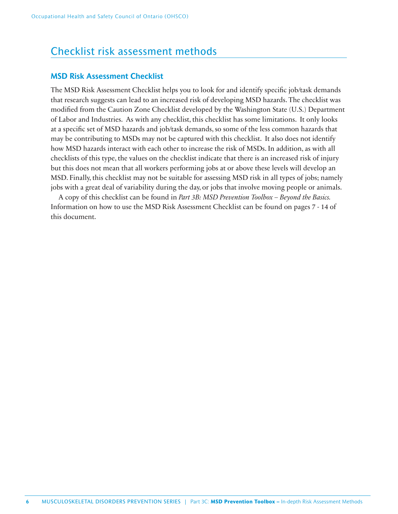# Checklist risk assessment methods

### **MSD Risk Assessment Checklist**

The MSD Risk Assessment Checklist helps you to look for and identify specific job/task demands that research suggests can lead to an increased risk of developing MSD hazards. The checklist was modified from the Caution Zone Checklist developed by the Washington State (U.S.) Department of Labor and Industries. As with any checklist, this checklist has some limitations. It only looks at a specific set of MSD hazards and job/task demands, so some of the less common hazards that may be contributing to MSDs may not be captured with this checklist. It also does not identify how MSD hazards interact with each other to increase the risk of MSDs. In addition, as with all checklists of this type, the values on the checklist indicate that there is an increased risk of injury but this does not mean that all workers performing jobs at or above these levels will develop an MSD. Finally, this checklist may not be suitable for assessing MSD risk in all types of jobs; namely jobs with a great deal of variability during the day, or jobs that involve moving people or animals.

A copy of this checklist can be found in *Part 3B: MSD Prevention Toolbox – Beyond the Basics.* Information on how to use the MSD Risk Assessment Checklist can be found on pages 7 - 14 of this document.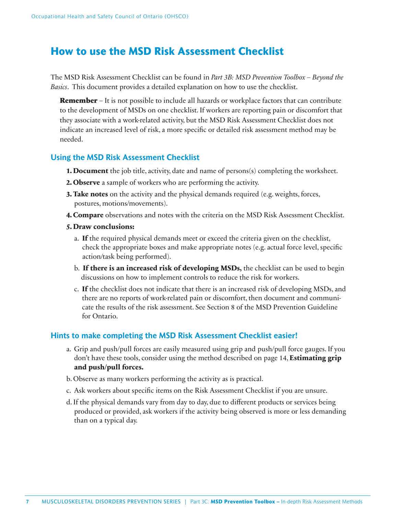# **How to use the MSD Risk Assessment Checklist**

The MSD Risk Assessment Checklist can be found in *Part 3B: MSD Prevention Toolbox – Beyond the Basics*. This document provides a detailed explanation on how to use the checklist.

**Remember** – It is not possible to include all hazards or workplace factors that can contribute to the development of MSDs on one checklist. If workers are reporting pain or discomfort that they associate with a work-related activity, but the MSD Risk Assessment Checklist does not indicate an increased level of risk, a more specific or detailed risk assessment method may be needed.

### **Using the MSD Risk Assessment Checklist**

- **1. Document** the job title, activity, date and name of persons(s) completing the worksheet.
- **2. Observe** a sample of workers who are performing the activity.
- **3. Take notes** on the activity and the physical demands required (e.g. weights, forces, postures, motions/movements).
- **4. Compare** observations and notes with the criteria on the MSD Risk Assessment Checklist.
- **5. Draw conclusions:**
	- a. **If** the required physical demands meet or exceed the criteria given on the checklist, check the appropriate boxes and make appropriate notes (e.g. actual force level, specific action/task being performed).
	- b. **If there is an increased risk of developing MSDs,** the checklist can be used to begin discussions on how to implement controls to reduce the risk for workers.
	- c. **If** the checklist does not indicate that there is an increased risk of developing MSDs, and there are no reports of work-related pain or discomfort, then document and communicate the results of the risk assessment. See Section 8 of the MSD Prevention Guideline for Ontario.

### **Hints to make completing the MSD Risk Assessment Checklist easier!**

- a. Grip and push/pull forces are easily measured using grip and push/pull force gauges. If you don't have these tools, consider using the method described on page 14, **Estimating grip and push/pull forces.**
- b. Observe as many workers performing the activity as is practical.
- c. Ask workers about specific items on the Risk Assessment Checklist if you are unsure.
- d. If the physical demands vary from day to day, due to different products or services being produced or provided, ask workers if the activity being observed is more or less demanding than on a typical day.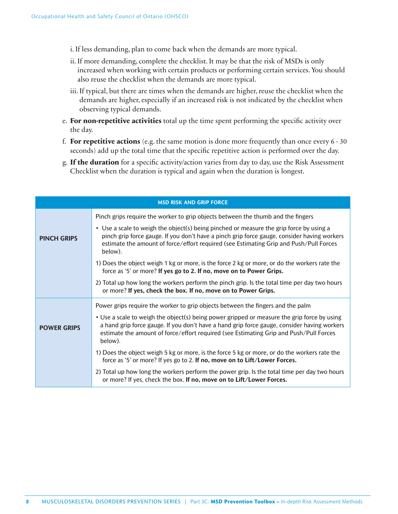i. If less demanding, plan to come back when the demands are more typical.

- ii. If more demanding, complete the checklist. It may be that the risk of MSDs is only increased when working with certain products or performing certain services. You should also reuse the checklist when the demands are more typical.
- iii. If typical, but there are times when the demands are higher, reuse the checklist when the demands are higher, especially if an increased risk is not indicated by the checklist when observing typical demands.
- e. For non-repetitive activities total up the time spent performing the specific activity over the day.
- f. **For repetitive actions** (e.g. the same motion is done more frequently than once every 6 30 seconds) add up the total time that the specific repetitive action is performed over the day.
- g. If the duration for a specific activity/action varies from day to day, use the Risk Assessment Checklist when the duration is typical and again when the duration is longest.

|                    | <b>MSD RISK AND GRIP FORCE</b>                                                                                                                                                                                                                                                                  |
|--------------------|-------------------------------------------------------------------------------------------------------------------------------------------------------------------------------------------------------------------------------------------------------------------------------------------------|
|                    | Pinch grips require the worker to grip objects between the thumb and the fingers                                                                                                                                                                                                                |
| <b>PINCH GRIPS</b> | • Use a scale to weigh the object(s) being pinched or measure the grip force by using a<br>pinch grip force gauge. If you don't have a pinch grip force gauge, consider having workers<br>estimate the amount of force/effort required (see Estimating Grip and Push/Pull Forces<br>below).     |
|                    | 1) Does the object weigh 1 kg or more, is the force 2 kg or more, or do the workers rate the<br>force as '5' or more? If yes go to 2. If no, move on to Power Grips.                                                                                                                            |
|                    | 2) Total up how long the workers perform the pinch grip. Is the total time per day two hours<br>or more? If yes, check the box. If no, move on to Power Grips.                                                                                                                                  |
|                    | Power grips require the worker to grip objects between the fingers and the palm                                                                                                                                                                                                                 |
| <b>POWER GRIPS</b> | • Use a scale to weigh the object(s) being power gripped or measure the grip force by using<br>a hand grip force gauge. If you don't have a hand grip force gauge, consider having workers<br>estimate the amount of force/effort required (see Estimating Grip and Push/Pull Forces<br>below). |
|                    | 1) Does the object weigh 5 kg or more, is the force 5 kg or more, or do the workers rate the<br>force as '5' or more? If yes go to 2. If no, move on to Lift/Lower Forces.                                                                                                                      |
|                    | 2) Total up how long the workers perform the power grip. Is the total time per day two hours<br>or more? If yes, check the box. If no, move on to Lift/Lower Forces.                                                                                                                            |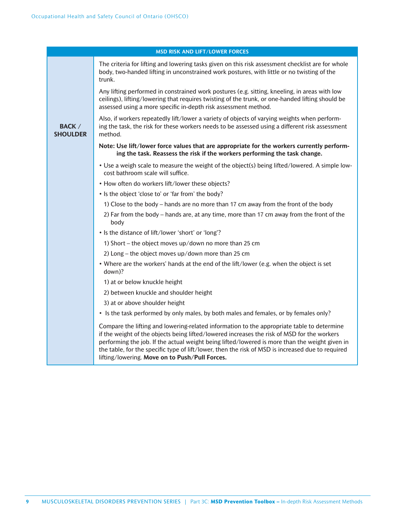|                                  | <b>MSD RISK AND LIFT/LOWER FORCES</b>                                                                                                                                                                                                                                                                                                                                                                                                              |
|----------------------------------|----------------------------------------------------------------------------------------------------------------------------------------------------------------------------------------------------------------------------------------------------------------------------------------------------------------------------------------------------------------------------------------------------------------------------------------------------|
|                                  | The criteria for lifting and lowering tasks given on this risk assessment checklist are for whole<br>body, two-handed lifting in unconstrained work postures, with little or no twisting of the<br>trunk.                                                                                                                                                                                                                                          |
|                                  | Any lifting performed in constrained work postures (e.g. sitting, kneeling, in areas with low<br>ceilings), lifting/lowering that requires twisting of the trunk, or one-handed lifting should be<br>assessed using a more specific in-depth risk assessment method.                                                                                                                                                                               |
| <b>BACK</b> /<br><b>SHOULDER</b> | Also, if workers repeatedly lift/lower a variety of objects of varying weights when perform-<br>ing the task, the risk for these workers needs to be assessed using a different risk assessment<br>method.                                                                                                                                                                                                                                         |
|                                  | Note: Use lift/lower force values that are appropriate for the workers currently perform-<br>ing the task. Reassess the risk if the workers performing the task change.                                                                                                                                                                                                                                                                            |
|                                  | . Use a weigh scale to measure the weight of the object(s) being lifted/lowered. A simple low-<br>cost bathroom scale will suffice.                                                                                                                                                                                                                                                                                                                |
|                                  | • How often do workers lift/lower these objects?                                                                                                                                                                                                                                                                                                                                                                                                   |
|                                  | • Is the object 'close to' or 'far from' the body?                                                                                                                                                                                                                                                                                                                                                                                                 |
|                                  | 1) Close to the body – hands are no more than 17 cm away from the front of the body                                                                                                                                                                                                                                                                                                                                                                |
|                                  | 2) Far from the body – hands are, at any time, more than 17 cm away from the front of the<br>body                                                                                                                                                                                                                                                                                                                                                  |
|                                  | • Is the distance of lift/lower 'short' or 'long'?                                                                                                                                                                                                                                                                                                                                                                                                 |
|                                  | 1) Short – the object moves up/down no more than 25 cm                                                                                                                                                                                                                                                                                                                                                                                             |
|                                  | 2) Long – the object moves up/down more than 25 cm                                                                                                                                                                                                                                                                                                                                                                                                 |
|                                  | • Where are the workers' hands at the end of the lift/lower (e.g. when the object is set<br>down)?                                                                                                                                                                                                                                                                                                                                                 |
|                                  | 1) at or below knuckle height                                                                                                                                                                                                                                                                                                                                                                                                                      |
|                                  | 2) between knuckle and shoulder height                                                                                                                                                                                                                                                                                                                                                                                                             |
|                                  | 3) at or above shoulder height                                                                                                                                                                                                                                                                                                                                                                                                                     |
|                                  | • Is the task performed by only males, by both males and females, or by females only?                                                                                                                                                                                                                                                                                                                                                              |
|                                  | Compare the lifting and lowering-related information to the appropriate table to determine<br>if the weight of the objects being lifted/lowered increases the risk of MSD for the workers<br>performing the job. If the actual weight being lifted/lowered is more than the weight given in<br>the table, for the specific type of lift/lower, then the risk of MSD is increased due to required<br>lifting/lowering. Move on to Push/Pull Forces. |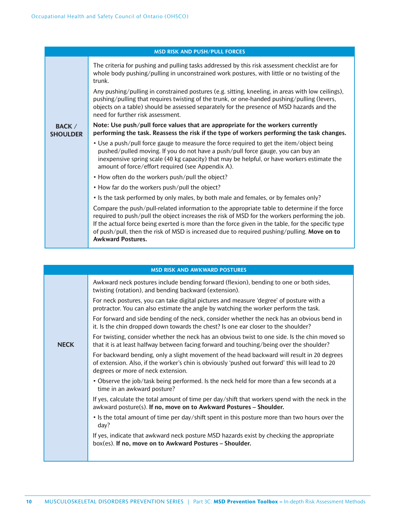|                                  | <b>MSD RISK AND PUSH/PULL FORCES</b>                                                                                                                                                                                                                                                                                                                                                                                            |
|----------------------------------|---------------------------------------------------------------------------------------------------------------------------------------------------------------------------------------------------------------------------------------------------------------------------------------------------------------------------------------------------------------------------------------------------------------------------------|
|                                  | The criteria for pushing and pulling tasks addressed by this risk assessment checklist are for<br>whole body pushing/pulling in unconstrained work postures, with little or no twisting of the<br>trunk.                                                                                                                                                                                                                        |
|                                  | Any pushing/pulling in constrained postures (e.g. sitting, kneeling, in areas with low ceilings),<br>pushing/pulling that requires twisting of the trunk, or one-handed pushing/pulling (levers,<br>objects on a table) should be assessed separately for the presence of MSD hazards and the<br>need for further risk assessment.                                                                                              |
| <b>BACK /</b><br><b>SHOULDER</b> | Note: Use push/pull force values that are appropriate for the workers currently<br>performing the task. Reassess the risk if the type of workers performing the task changes.                                                                                                                                                                                                                                                   |
|                                  | • Use a push/pull force gauge to measure the force required to get the item/object being<br>pushed/pulled moving. If you do not have a push/pull force gauge, you can buy an<br>inexpensive spring scale (40 kg capacity) that may be helpful, or have workers estimate the<br>amount of force/effort required (see Appendix A).                                                                                                |
|                                  | • How often do the workers push/pull the object?                                                                                                                                                                                                                                                                                                                                                                                |
|                                  | • How far do the workers push/pull the object?                                                                                                                                                                                                                                                                                                                                                                                  |
|                                  | • Is the task performed by only males, by both male and females, or by females only?                                                                                                                                                                                                                                                                                                                                            |
|                                  | Compare the push/pull-related information to the appropriate table to determine if the force<br>required to push/pull the object increases the risk of MSD for the workers performing the job.<br>If the actual force being exerted is more than the force given in the table, for the specific type<br>of push/pull, then the risk of MSD is increased due to required pushing/pulling. Move on to<br><b>Awkward Postures.</b> |

|             | <b>MSD RISK AND AWKWARD POSTURES</b>                                                                                                                                                                                                 |
|-------------|--------------------------------------------------------------------------------------------------------------------------------------------------------------------------------------------------------------------------------------|
|             | Awkward neck postures include bending forward (flexion), bending to one or both sides,<br>twisting (rotation), and bending backward (extension).                                                                                     |
|             | For neck postures, you can take digital pictures and measure 'degree' of posture with a<br>protractor. You can also estimate the angle by watching the worker perform the task.                                                      |
|             | For forward and side bending of the neck, consider whether the neck has an obvious bend in<br>it. Is the chin dropped down towards the chest? Is one ear closer to the shoulder?                                                     |
| <b>NECK</b> | For twisting, consider whether the neck has an obvious twist to one side. Is the chin moved so<br>that it is at least halfway between facing forward and touching/being over the shoulder?                                           |
|             | For backward bending, only a slight movement of the head backward will result in 20 degrees<br>of extension. Also, if the worker's chin is obviously 'pushed out forward' this will lead to 20<br>degrees or more of neck extension. |
|             | • Observe the job/task being performed. Is the neck held for more than a few seconds at a<br>time in an awkward posture?                                                                                                             |
|             | If yes, calculate the total amount of time per day/shift that workers spend with the neck in the<br>awkward posture(s). If no, move on to Awkward Postures - Shoulder.                                                               |
|             | • Is the total amount of time per day/shift spent in this posture more than two hours over the<br>day?                                                                                                                               |
|             | If yes, indicate that awkward neck posture MSD hazards exist by checking the appropriate<br>box(es). If no, move on to Awkward Postures - Shoulder.                                                                                  |
|             |                                                                                                                                                                                                                                      |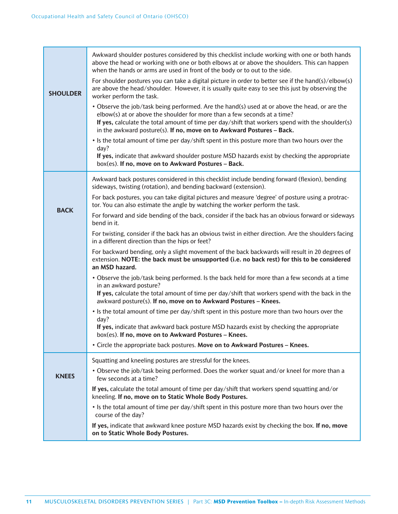| <b>SHOULDER</b> | Awkward shoulder postures considered by this checklist include working with one or both hands<br>above the head or working with one or both elbows at or above the shoulders. This can happen<br>when the hands or arms are used in front of the body or to out to the side.<br>For shoulder postures you can take a digital picture in order to better see if the hand(s)/elbow(s)<br>are above the head/shoulder. However, it is usually quite easy to see this just by observing the<br>worker perform the task. |  |  |  |  |  |  |  |  |  |
|-----------------|---------------------------------------------------------------------------------------------------------------------------------------------------------------------------------------------------------------------------------------------------------------------------------------------------------------------------------------------------------------------------------------------------------------------------------------------------------------------------------------------------------------------|--|--|--|--|--|--|--|--|--|
|                 | • Observe the job/task being performed. Are the hand(s) used at or above the head, or are the<br>elbow(s) at or above the shoulder for more than a few seconds at a time?<br>If yes, calculate the total amount of time per day/shift that workers spend with the shoulder(s)<br>in the awkward posture(s). If no, move on to Awkward Postures - Back.                                                                                                                                                              |  |  |  |  |  |  |  |  |  |
|                 | • Is the total amount of time per day/shift spent in this posture more than two hours over the<br>day?                                                                                                                                                                                                                                                                                                                                                                                                              |  |  |  |  |  |  |  |  |  |
|                 | If yes, indicate that awkward shoulder posture MSD hazards exist by checking the appropriate<br>box(es). If no, move on to Awkward Postures - Back.                                                                                                                                                                                                                                                                                                                                                                 |  |  |  |  |  |  |  |  |  |
|                 | Awkward back postures considered in this checklist include bending forward (flexion), bending<br>sideways, twisting (rotation), and bending backward (extension).                                                                                                                                                                                                                                                                                                                                                   |  |  |  |  |  |  |  |  |  |
| <b>BACK</b>     | For back postures, you can take digital pictures and measure 'degree' of posture using a protrac-<br>tor. You can also estimate the angle by watching the worker perform the task.                                                                                                                                                                                                                                                                                                                                  |  |  |  |  |  |  |  |  |  |
|                 | For forward and side bending of the back, consider if the back has an obvious forward or sideways<br>bend in it.                                                                                                                                                                                                                                                                                                                                                                                                    |  |  |  |  |  |  |  |  |  |
|                 | For twisting, consider if the back has an obvious twist in either direction. Are the shoulders facing<br>in a different direction than the hips or feet?                                                                                                                                                                                                                                                                                                                                                            |  |  |  |  |  |  |  |  |  |
|                 | For backward bending, only a slight movement of the back backwards will result in 20 degrees of<br>extension. NOTE: the back must be unsupported (i.e. no back rest) for this to be considered<br>an MSD hazard.                                                                                                                                                                                                                                                                                                    |  |  |  |  |  |  |  |  |  |
|                 | • Observe the job/task being performed. Is the back held for more than a few seconds at a time<br>in an awkward posture?<br>If yes, calculate the total amount of time per day/shift that workers spend with the back in the                                                                                                                                                                                                                                                                                        |  |  |  |  |  |  |  |  |  |
|                 | awkward posture(s). If no, move on to Awkward Postures - Knees.<br>• Is the total amount of time per day/shift spent in this posture more than two hours over the                                                                                                                                                                                                                                                                                                                                                   |  |  |  |  |  |  |  |  |  |
|                 | day?<br>If yes, indicate that awkward back posture MSD hazards exist by checking the appropriate<br>box(es). If no, move on to Awkward Postures – Knees.                                                                                                                                                                                                                                                                                                                                                            |  |  |  |  |  |  |  |  |  |
|                 | • Circle the appropriate back postures. Move on to Awkward Postures – Knees.                                                                                                                                                                                                                                                                                                                                                                                                                                        |  |  |  |  |  |  |  |  |  |
|                 | Squatting and kneeling postures are stressful for the knees.                                                                                                                                                                                                                                                                                                                                                                                                                                                        |  |  |  |  |  |  |  |  |  |
| <b>KNEES</b>    | • Observe the job/task being performed. Does the worker squat and/or kneel for more than a<br>few seconds at a time?                                                                                                                                                                                                                                                                                                                                                                                                |  |  |  |  |  |  |  |  |  |
|                 | If yes, calculate the total amount of time per day/shift that workers spend squatting and/or<br>kneeling. If no, move on to Static Whole Body Postures.                                                                                                                                                                                                                                                                                                                                                             |  |  |  |  |  |  |  |  |  |
|                 | • Is the total amount of time per day/shift spent in this posture more than two hours over the<br>course of the day?                                                                                                                                                                                                                                                                                                                                                                                                |  |  |  |  |  |  |  |  |  |
|                 | If yes, indicate that awkward knee posture MSD hazards exist by checking the box. If no, move<br>on to Static Whole Body Postures.                                                                                                                                                                                                                                                                                                                                                                                  |  |  |  |  |  |  |  |  |  |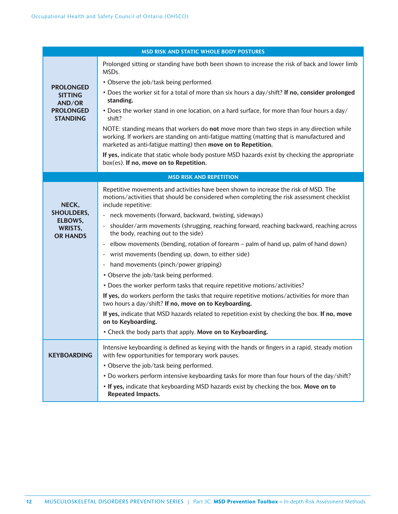|                                                                                     | <b>MSD RISK AND STATIC WHOLE BODY POSTURES</b>                                                                                                                                                                                                                                                                                                                                                                                                                                                                                                                                                                                                                                                                                                                                                                                                                                                                                                                                                                                                                                                                  |
|-------------------------------------------------------------------------------------|-----------------------------------------------------------------------------------------------------------------------------------------------------------------------------------------------------------------------------------------------------------------------------------------------------------------------------------------------------------------------------------------------------------------------------------------------------------------------------------------------------------------------------------------------------------------------------------------------------------------------------------------------------------------------------------------------------------------------------------------------------------------------------------------------------------------------------------------------------------------------------------------------------------------------------------------------------------------------------------------------------------------------------------------------------------------------------------------------------------------|
| <b>PROLONGED</b><br><b>SITTING</b><br>AND/OR<br><b>PROLONGED</b><br><b>STANDING</b> | Prolonged sitting or standing have both been shown to increase the risk of back and lower limb<br>MSDs.<br>• Observe the job/task being performed.<br>. Does the worker sit for a total of more than six hours a day/shift? If no, consider prolonged<br>standing.<br>. Does the worker stand in one location, on a hard surface, for more than four hours a day/<br>shift?<br>NOTE: standing means that workers do not move more than two steps in any direction while<br>working. If workers are standing on anti-fatigue matting (matting that is manufactured and<br>marketed as anti-fatigue matting) then move on to Repetition.                                                                                                                                                                                                                                                                                                                                                                                                                                                                          |
|                                                                                     | If yes, indicate that static whole body posture MSD hazards exist by checking the appropriate<br>box(es). If no, move on to Repetition.                                                                                                                                                                                                                                                                                                                                                                                                                                                                                                                                                                                                                                                                                                                                                                                                                                                                                                                                                                         |
|                                                                                     | <b>MSD RISK AND REPETITION</b>                                                                                                                                                                                                                                                                                                                                                                                                                                                                                                                                                                                                                                                                                                                                                                                                                                                                                                                                                                                                                                                                                  |
| NECK,<br><b>SHOULDERS,</b><br>ELBOWS,<br>WRISTS,<br><b>OR HANDS</b>                 | Repetitive movements and activities have been shown to increase the risk of MSD. The<br>motions/activities that should be considered when completing the risk assessment checklist<br>include repetitive:<br>- neck movements (forward, backward, twisting, sideways)<br>shoulder/arm movements (shrugging, reaching forward, reaching backward, reaching across<br>$\blacksquare$<br>the body, reaching out to the side)<br>- elbow movements (bending, rotation of forearm – palm of hand up, palm of hand down)<br>wrist movements (bending up, down, to either side)<br>$\blacksquare$<br>- hand movements (pinch/power gripping)<br>• Observe the job/task being performed.<br>• Does the worker perform tasks that require repetitive motions/activities?<br>If yes, do workers perform the tasks that require repetitive motions/activities for more than<br>two hours a day/shift? If no, move on to Keyboarding.<br>If yes, indicate that MSD hazards related to repetition exist by checking the box. If no, move<br>on to Keyboarding.<br>• Check the body parts that apply. Move on to Keyboarding. |
| <b>KEYBOARDING</b>                                                                  | Intensive keyboarding is defined as keying with the hands or fingers in a rapid, steady motion<br>with few opportunities for temporary work pauses.<br>• Observe the job/task being performed.<br>. Do workers perform intensive keyboarding tasks for more than four hours of the day/shift?                                                                                                                                                                                                                                                                                                                                                                                                                                                                                                                                                                                                                                                                                                                                                                                                                   |
|                                                                                     | . If yes, indicate that keyboarding MSD hazards exist by checking the box. Move on to<br><b>Repeated Impacts.</b>                                                                                                                                                                                                                                                                                                                                                                                                                                                                                                                                                                                                                                                                                                                                                                                                                                                                                                                                                                                               |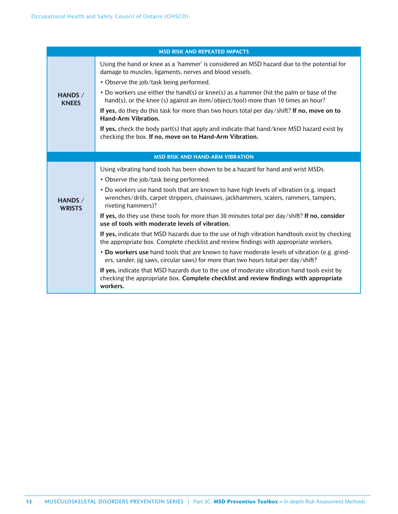|                                 | <b>MSD RISK AND REPEATED IMPACTS</b>                                                                                                                                                                    |
|---------------------------------|---------------------------------------------------------------------------------------------------------------------------------------------------------------------------------------------------------|
|                                 | Using the hand or knee as a 'hammer' is considered an MSD hazard due to the potential for<br>damage to muscles, ligaments, nerves and blood vessels.                                                    |
|                                 | • Observe the job/task being performed.                                                                                                                                                                 |
| <b>HANDS /</b><br><b>KNEES</b>  | • Do workers use either the hand(s) or knee(s) as a hammer (hit the palm or base of the<br>hand(s), or the knee (s) against an item/object/tool) more than 10 times an hour?                            |
|                                 | If yes, do they do this task for more than two hours total per day/shift? If no, move on to<br><b>Hand-Arm Vibration.</b>                                                                               |
|                                 | If yes, check the body part(s) that apply and indicate that hand/knee MSD hazard exist by<br>checking the box. If no, move on to Hand-Arm Vibration.                                                    |
|                                 |                                                                                                                                                                                                         |
|                                 | <b>MSD RISK AND HAND-ARM VIBRATION</b>                                                                                                                                                                  |
|                                 | Using vibrating hand tools has been shown to be a hazard for hand and wrist MSDs.                                                                                                                       |
|                                 | • Observe the job/task being performed.                                                                                                                                                                 |
| <b>HANDS /</b><br><b>WRISTS</b> | • Do workers use hand tools that are known to have high levels of vibration (e.g. impact<br>wrenches/drills, carpet strippers, chainsaws, jackhammers, scalers, rammers, tampers,<br>riveting hammers)? |
|                                 | If yes, do they use these tools for more than 30 minutes total per day/shift? If no, consider<br>use of tools with moderate levels of vibration.                                                        |
|                                 | If yes, indicate that MSD hazards due to the use of high vibration handtools exist by checking<br>the appropriate box. Complete checklist and review findings with appropriate workers.                 |
|                                 | • Do workers use hand tools that are known to have moderate levels of vibration (e.g. grind-<br>ers, sander, jig saws, circular saws) for more than two hours total per day/shift?                      |
|                                 | If yes, indicate that MSD hazards due to the use of moderate vibration hand tools exist by<br>checking the appropriate box. Complete checklist and review findings with appropriate<br>workers.         |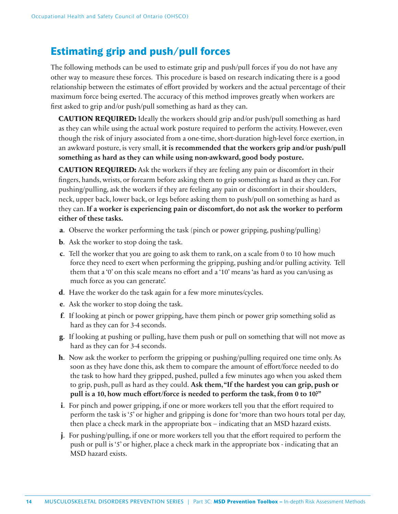# **Estimating grip and push/pull forces**

The following methods can be used to estimate grip and push/pull forces if you do not have any other way to measure these forces. This procedure is based on research indicating there is a good relationship between the estimates of effort provided by workers and the actual percentage of their maximum force being exerted. The accuracy of this method improves greatly when workers are first asked to grip and/or push/pull something as hard as they can.

**CAUTION REQUIRED:** Ideally the workers should grip and/or push/pull something as hard as they can while using the actual work posture required to perform the activity. However, even though the risk of injury associated from a one-time, short-duration high-level force exertion, in an awkward posture, is very small, **it is recommended that the workers grip and/or push/pull something as hard as they can while using non-awkward, good body posture.**

**CAUTION REQUIRED:** Ask the workers if they are feeling any pain or discomfort in their fingers, hands, wrists, or forearm before asking them to grip something as hard as they can. For pushing/pulling, ask the workers if they are feeling any pain or discomfort in their shoulders, neck, upper back, lower back, or legs before asking them to push/pull on something as hard as they can. **If a worker is experiencing pain or discomfort, do not ask the worker to perform either of these tasks.**

- **a**. Observe the worker performing the task (pinch or power gripping, pushing/pulling)
- **b**. Ask the worker to stop doing the task.
- **c**. Tell the worker that you are going to ask them to rank, on a scale from 0 to 10 how much force they need to exert when performing the gripping, pushing and/or pulling activity. Tell them that a '0' on this scale means no effort and a '10' means 'as hard as you can/using as much force as you can generate'.
- **d**. Have the worker do the task again for a few more minutes/cycles.
- **e**. Ask the worker to stop doing the task.
- **f**. If looking at pinch or power gripping, have them pinch or power grip something solid as hard as they can for 3-4 seconds.
- **g**. If looking at pushing or pulling, have them push or pull on something that will not move as hard as they can for 3-4 seconds.
- **h**. Now ask the worker to perform the gripping or pushing/pulling required one time only. As soon as they have done this, ask them to compare the amount of effort/force needed to do the task to how hard they gripped, pushed, pulled a few minutes ago when you asked them to grip, push, pull as hard as they could. **Ask them, "If the hardest you can grip, push or pull is a 10, how much effort/force is needed to perform the task, from 0 to 10?"**
- **i**. For pinch and power gripping, if one or more workers tell you that the effort required to perform the task is '5' or higher and gripping is done for 'more than two hours total per day, then place a check mark in the appropriate box – indicating that an MSD hazard exists.
- **j**. For pushing/pulling, if one or more workers tell you that the effort required to perform the push or pull is '5' or higher, place a check mark in the appropriate box - indicating that an MSD hazard exists.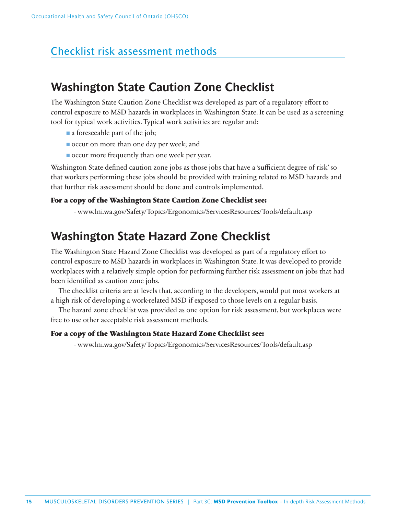# Checklist risk assessment methods

# **Washington State Caution Zone Checklist**

The Washington State Caution Zone Checklist was developed as part of a regulatory effort to control exposure to MSD hazards in workplaces in Washington State. It can be used as a screening tool for typical work activities. Typical work activities are regular and:

- a foreseeable part of the job;
- occur on more than one day per week; and
- occur more frequently than one week per year.

Washington State defined caution zone jobs as those jobs that have a 'sufficient degree of risk' so that workers performing these jobs should be provided with training related to MSD hazards and that further risk assessment should be done and controls implemented.

### **For a copy of the Washington State Caution Zone Checklist see:**

- www.lni.wa.gov/Safety/Topics/Ergonomics/ServicesResources/Tools/default.asp

# **Washington State Hazard Zone Checklist**

The Washington State Hazard Zone Checklist was developed as part of a regulatory effort to control exposure to MSD hazards in workplaces in Washington State. It was developed to provide workplaces with a relatively simple option for performing further risk assessment on jobs that had been identified as caution zone jobs.

The checklist criteria are at levels that, according to the developers, would put most workers at a high risk of developing a work-related MSD if exposed to those levels on a regular basis.

The hazard zone checklist was provided as one option for risk assessment, but workplaces were free to use other acceptable risk assessment methods.

### **For a copy of the Washington State Hazard Zone Checklist see:**

- www.lni.wa.gov/Safety/Topics/Ergonomics/ServicesResources/Tools/default.asp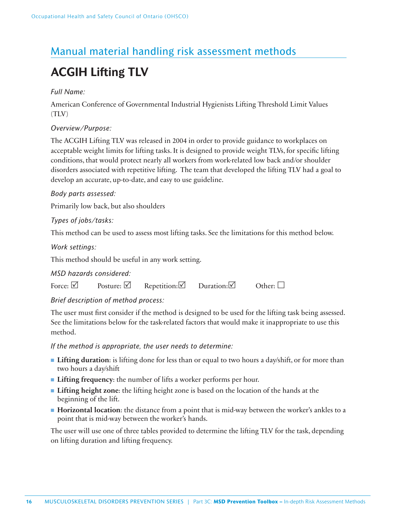# Manual material handling risk assessment methods

# **ACGIH Lifting TLV**

*Full Name:*

American Conference of Governmental Industrial Hygienists Lifting Threshold Limit Values (TLV)

### *Overview/Purpose:*

The ACGIH Lifting TLV was released in 2004 in order to provide guidance to workplaces on acceptable weight limits for lifting tasks. It is designed to provide weight TLVs, for specific lifting conditions, that would protect nearly all workers from work-related low back and/or shoulder disorders associated with repetitive lifting. The team that developed the lifting TLV had a goal to develop an accurate, up-to-date, and easy to use guideline.

### *Body parts assessed:*

Primarily low back, but also shoulders

### *Types of jobs/tasks:*

This method can be used to assess most lifting tasks. See the limitations for this method below.

### *Work settings:*

This method should be useful in any work setting.

### *MSD hazards considered:*

| Repetition: $\boxtimes$<br>Posture: $\boxtimes$<br>Force: $\boxtimes$<br>Duration: $\vee$<br>Other: $\Box$ |  |
|------------------------------------------------------------------------------------------------------------|--|
|------------------------------------------------------------------------------------------------------------|--|

### *Brief description of method process:*

The user must first consider if the method is designed to be used for the lifting task being assessed. See the limitations below for the task-related factors that would make it inappropriate to use this method.

*If the method is appropriate, the user needs to determine:*

- Lifting duration: is lifting done for less than or equal to two hours a day/shift, or for more than two hours a day/shift
- **Lifting frequency**: the number of lifts a worker performs per hour.
- **Lifting height zone**: the lifting height zone is based on the location of the hands at the beginning of the lift.
- **Horizontal location**: the distance from a point that is mid-way between the worker's ankles to a point that is mid-way between the worker's hands.

The user will use one of three tables provided to determine the lifting TLV for the task, depending on lifting duration and lifting frequency.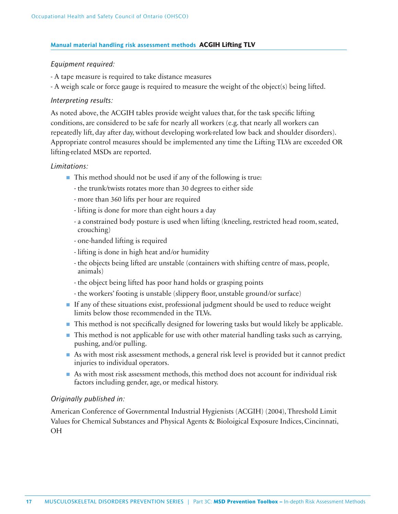### **Manual material handling risk assessment methods ACGIH Lifting TLV**

### *Equipment required:*

- A tape measure is required to take distance measures
- A weigh scale or force gauge is required to measure the weight of the object(s) being lifted.

### *Interpreting results:*

As noted above, the ACGIH tables provide weight values that, for the task specific lifting conditions, are considered to be safe for nearly all workers (e.g. that nearly all workers can repeatedly lift, day after day, without developing work-related low back and shoulder disorders). Appropriate control measures should be implemented any time the Lifting TLVs are exceeded OR lifting-related MSDs are reported.

### *Limitations:*

- This method should not be used if any of the following is true:
	- the trunk/twists rotates more than 30 degrees to either side
	- more than 360 lifts per hour are required
	- lifting is done for more than eight hours a day
	- a constrained body posture is used when lifting (kneeling, restricted head room, seated, crouching)
	- one-handed lifting is required
	- lifting is done in high heat and/or humidity
	- the objects being lifted are unstable (containers with shifting centre of mass, people, animals)
	- the object being lifted has poor hand holds or grasping points
	- the workers' footing is unstable (slippery floor, unstable ground/or surface)
- If any of these situations exist, professional judgment should be used to reduce weight limits below those recommended in the TLVs.
- This method is not specifically designed for lowering tasks but would likely be applicable.
- This method is not applicable for use with other material handling tasks such as carrying, pushing, and/or pulling.
- As with most risk assessment methods, a general risk level is provided but it cannot predict injuries to individual operators.
- As with most risk assessment methods, this method does not account for individual risk factors including gender, age, or medical history.

### *Originally published in:*

American Conference of Governmental Industrial Hygienists (ACGIH) (2004), Threshold Limit Values for Chemical Substances and Physical Agents & Bioloigical Exposure Indices, Cincinnati, OH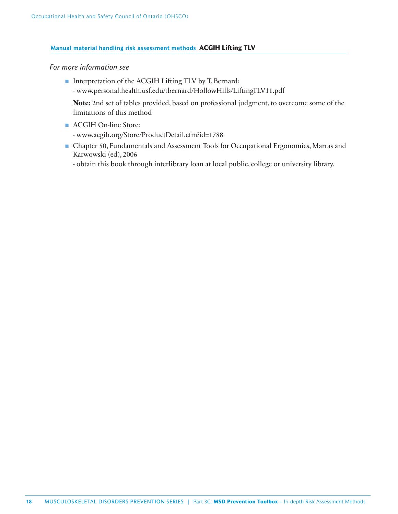### **Manual material handling risk assessment methods ACGIH Lifting TLV**

### *For more information see*

■ Interpretation of the ACGIH Lifting TLV by T. Bernard: - www.personal.health.usf.edu/tbernard/HollowHills/LiftingTLV11.pdf

 **Note:** 2nd set of tables provided, based on professional judgment, to overcome some of the limitations of this method

- ACGIH On-line Store: - www.acgih.org/Store/ProductDetail.cfm?id=1788
- Chapter 50, Fundamentals and Assessment Tools for Occupational Ergonomics, Marras and Karwowski (ed), 2006
	- obtain this book through interlibrary loan at local public, college or university library.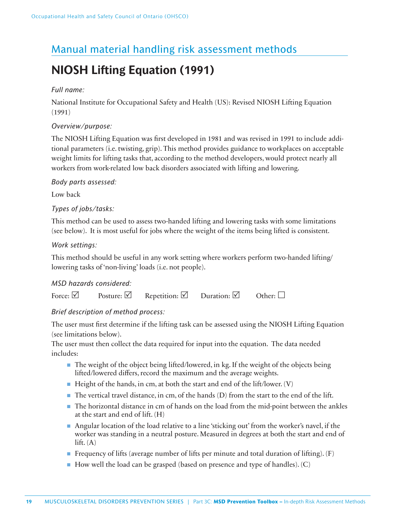# Manual material handling risk assessment methods

# **NIOSH Lifting Equation (1991)**

### *Full name:*

National Institute for Occupational Safety and Health (US): Revised NIOSH Lifting Equation (1991)

### *Overview/purpose:*

The NIOSH Lifting Equation was first developed in 1981 and was revised in 1991 to include additional parameters (i.e. twisting, grip). This method provides guidance to workplaces on acceptable weight limits for lifting tasks that, according to the method developers, would protect nearly all workers from work-related low back disorders associated with lifting and lowering.

*Body parts assessed:*

Low back

### *Types of jobs/tasks:*

This method can be used to assess two-handed lifting and lowering tasks with some limitations (see below). It is most useful for jobs where the weight of the items being lifted is consistent.

### *Work settings:*

This method should be useful in any work setting where workers perform two-handed lifting/ lowering tasks of 'non-living' loads (i.e. not people).

### *MSD hazards considered:*

| Force: $\vee$ | Posture: $\Box$ | Repetition: $\triangledown$ | Duration: $\boxtimes$ | Other: $\square$ |
|---------------|-----------------|-----------------------------|-----------------------|------------------|
|---------------|-----------------|-----------------------------|-----------------------|------------------|

### *Brief description of method process:*

The user must first determine if the lifting task can be assessed using the NIOSH Lifting Equation (see limitations below).

The user must then collect the data required for input into the equation. The data needed includes:

- The weight of the object being lifted/lowered, in kg. If the weight of the objects being lifted/lowered differs, record the maximum and the average weights.
- $\blacksquare$  Height of the hands, in cm, at both the start and end of the lift/lower. (V)
- The vertical travel distance, in cm, of the hands (D) from the start to the end of the lift.
- The horizontal distance in cm of hands on the load from the mid-point between the ankles at the start and end of lift. (H)
- Angular location of the load relative to a line 'sticking out' from the worker's navel, if the worker was standing in a neutral posture. Measured in degrees at both the start and end of lift.  $(A)$
- **Example 1** Frequency of lifts (average number of lifts per minute and total duration of lifting).  $(F)$
- How well the load can be grasped (based on presence and type of handles). (C)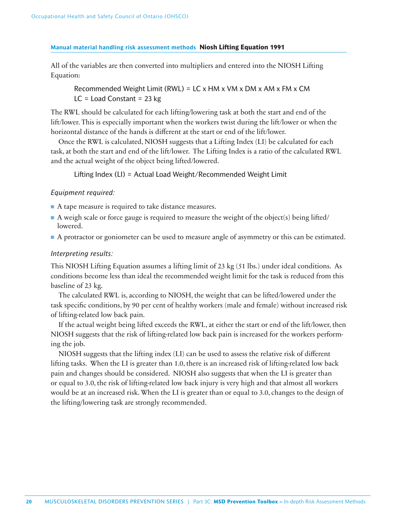### **Manual material handling risk assessment methods Niosh Lifting Equation 1991**

All of the variables are then converted into multipliers and entered into the NIOSH Lifting Equation:

 Recommended Weight Limit (RWL) = LC x HM x VM x DM x AM x FM x CM  $LC =$  Load Constant = 23 kg

The RWL should be calculated for each lifting/lowering task at both the start and end of the lift/lower. This is especially important when the workers twist during the lift/lower or when the horizontal distance of the hands is different at the start or end of the lift/lower.

Once the RWL is calculated, NIOSH suggests that a Lifting Index (LI) be calculated for each task, at both the start and end of the lift/lower. The Lifting Index is a ratio of the calculated RWL and the actual weight of the object being lifted/lowered.

Lifting Index (LI) = Actual Load Weight/Recommended Weight Limit

### *Equipment required:*

- A tape measure is required to take distance measures.
- $\blacksquare$  A weigh scale or force gauge is required to measure the weight of the object(s) being lifted/ lowered.
- A protractor or goniometer can be used to measure angle of asymmetry or this can be estimated.

### *Interpreting results:*

This NIOSH Lifting Equation assumes a lifting limit of 23 kg (51 lbs.) under ideal conditions. As conditions become less than ideal the recommended weight limit for the task is reduced from this baseline of 23 kg.

The calculated RWL is, according to NIOSH, the weight that can be lifted/lowered under the task specific conditions, by 90 per cent of healthy workers (male and female) without increased risk of lifting-related low back pain.

If the actual weight being lifted exceeds the RWL, at either the start or end of the lift/lower, then NIOSH suggests that the risk of lifting-related low back pain is increased for the workers performing the job.

NIOSH suggests that the lifting index (LI) can be used to assess the relative risk of different lifting tasks. When the LI is greater than 1.0, there is an increased risk of lifting-related low back pain and changes should be considered. NIOSH also suggests that when the LI is greater than or equal to 3.0, the risk of lifting-related low back injury is very high and that almost all workers would be at an increased risk. When the LI is greater than or equal to 3.0, changes to the design of the lifting/lowering task are strongly recommended.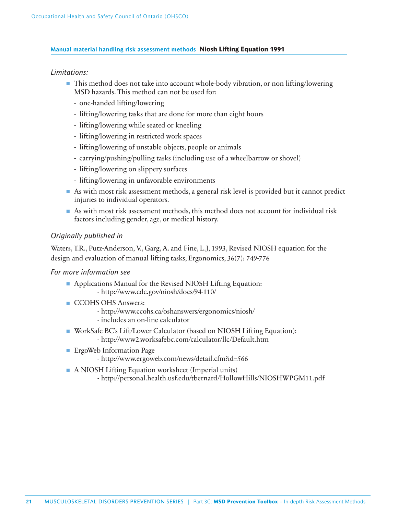### **Manual material handling risk assessment methods Niosh Lifting Equation 1991**

### *Limitations:*

- This method does not take into account whole-body vibration, or non lifting/lowering MSD hazards. This method can not be used for:
	- one-handed lifting/lowering
	- lifting/lowering tasks that are done for more than eight hours
	- lifting/lowering while seated or kneeling
	- lifting/lowering in restricted work spaces
	- lifting/lowering of unstable objects, people or animals
	- carrying/pushing/pulling tasks (including use of a wheelbarrow or shovel)
	- lifting/lowering on slippery surfaces
	- lifting/lowering in unfavorable environments
- As with most risk assessment methods, a general risk level is provided but it cannot predict injuries to individual operators.
- As with most risk assessment methods, this method does not account for individual risk factors including gender, age, or medical history.

### *Originally published in*

Waters, T.R., Putz-Anderson, V., Garg, A. and Fine, L.J, 1993, Revised NIOSH equation for the design and evaluation of manual lifting tasks, Ergonomics, 36(7): 749-776

### *For more information see*

- Applications Manual for the Revised NIOSH Lifting Equation:
	- http://www.cdc.gov/niosh/docs/94-110/
- CCOHS OHS Answers:
	- http://www.ccohs.ca/oshanswers/ergonomics/niosh/
	- includes an on-line calculator
- WorkSafe BC's Lift/Lower Calculator (based on NIOSH Lifting Equation): - http://www2.worksafebc.com/calculator/llc/Default.htm
- ErgoWeb Information Page
	- http://www.ergoweb.com/news/detail.cfm?id=566
- A NIOSH Lifting Equation worksheet (Imperial units)
	- http://personal.health.usf.edu/tbernard/HollowHills/NIOSHWPGM11.pdf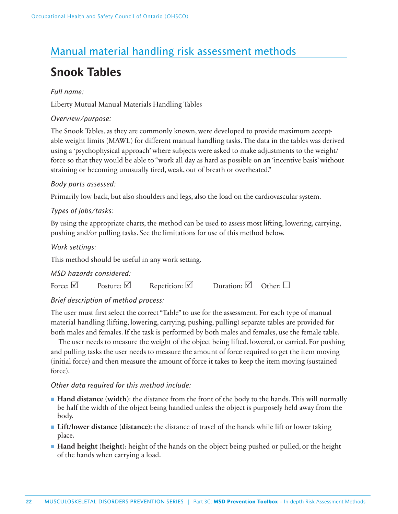# Manual material handling risk assessment methods

# **Snook Tables**

### *Full name:*

Liberty Mutual Manual Materials Handling Tables

### *Overview/purpose:*

The Snook Tables, as they are commonly known, were developed to provide maximum acceptable weight limits (MAWL) for different manual handling tasks. The data in the tables was derived using a 'psychophysical approach' where subjects were asked to make adjustments to the weight/ force so that they would be able to "work all day as hard as possible on an 'incentive basis' without straining or becoming unusually tired, weak, out of breath or overheated."

### *Body parts assessed:*

Primarily low back, but also shoulders and legs, also the load on the cardiovascular system.

### *Types of jobs/tasks:*

By using the appropriate charts, the method can be used to assess most lifting, lowering, carrying, pushing and/or pulling tasks. See the limitations for use of this method below.

*Work settings:*

This method should be useful in any work setting.

### *MSD hazards considered:*

| Repetition: $\triangledown$<br>Posture: $\Box$<br>Force: $\boxed{\vee}$ | Duration: $\boxtimes$<br>Other: $\Box$ |  |
|-------------------------------------------------------------------------|----------------------------------------|--|
|-------------------------------------------------------------------------|----------------------------------------|--|

### *Brief description of method process:*

The user must first select the correct "Table" to use for the assessment. For each type of manual material handling (lifting, lowering, carrying, pushing, pulling) separate tables are provided for both males and females. If the task is performed by both males and females, use the female table.

The user needs to measure the weight of the object being lifted, lowered, or carried. For pushing and pulling tasks the user needs to measure the amount of force required to get the item moving (initial force) and then measure the amount of force it takes to keep the item moving (sustained force).

### *Other data required for this method include:*

- **Hand distance** (width): the distance from the front of the body to the hands. This will normally be half the width of the object being handled unless the object is purposely held away from the body.
- **Lift/lower distance (distance)**: the distance of travel of the hands while lift or lower taking place.
- **Hand height (height)**: height of the hands on the object being pushed or pulled, or the height of the hands when carrying a load.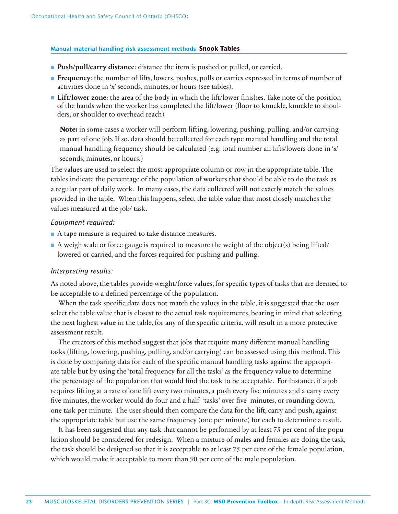### **Manual material handling risk assessment methods Snook Tables**

- **Push/pull/carry distance**: distance the item is pushed or pulled, or carried.
- **Frequency**: the number of lifts, lowers, pushes, pulls or carries expressed in terms of number of activities done in 'x' seconds, minutes, or hours (see tables).
- **Lift/lower zone:** the area of the body in which the lift/lower finishes. Take note of the position of the hands when the worker has completed the lift/lower (floor to knuckle, knuckle to shoulders, or shoulder to overhead reach)

**Note:** in some cases a worker will perform lifting, lowering, pushing, pulling, and/or carrying as part of one job. If so, data should be collected for each type manual handling and the total manual handling frequency should be calculated (e.g. total number all lifts/lowers done in 'x' seconds, minutes, or hours.)

The values are used to select the most appropriate column or row in the appropriate table. The tables indicate the percentage of the population of workers that should be able to do the task as a regular part of daily work. In many cases, the data collected will not exactly match the values provided in the table. When this happens, select the table value that most closely matches the values measured at the job/ task.

### *Equipment required:*

- A tape measure is required to take distance measures.
- A weigh scale or force gauge is required to measure the weight of the object(s) being lifted/ lowered or carried, and the forces required for pushing and pulling.

### *Interpreting results:*

As noted above, the tables provide weight/force values, for specific types of tasks that are deemed to be acceptable to a defined percentage of the population.

When the task specific data does not match the values in the table, it is suggested that the user select the table value that is closest to the actual task requirements, bearing in mind that selecting the next highest value in the table, for any of the specific criteria, will result in a more protective assessment result.

The creators of this method suggest that jobs that require many different manual handling tasks (lifting, lowering, pushing, pulling, and/or carrying) can be assessed using this method. This is done by comparing data for each of the specific manual handling tasks against the appropriate table but by using the 'total frequency for all the tasks' as the frequency value to determine the percentage of the population that would find the task to be acceptable. For instance, if a job requires lifting at a rate of one lift every two minutes, a push every five minutes and a carry every five minutes, the worker would do four and a half 'tasks' over five minutes, or rounding down, one task per minute. The user should then compare the data for the lift, carry and push, against the appropriate table but use the same frequency (one per minute) for each to determine a result.

It has been suggested that any task that cannot be performed by at least 75 per cent of the population should be considered for redesign. When a mixture of males and females are doing the task, the task should be designed so that it is acceptable to at least 75 per cent of the female population, which would make it acceptable to more than 90 per cent of the male population.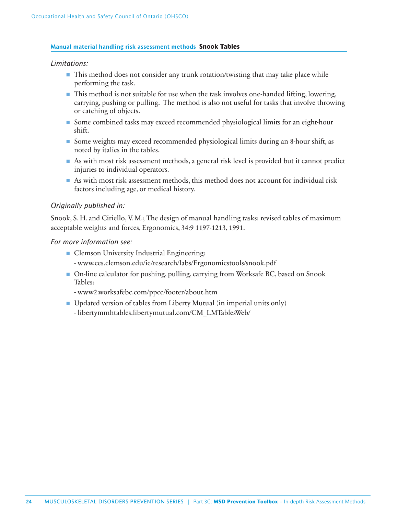### **Manual material handling risk assessment methods Snook Tables**

### *Limitations:*

- This method does not consider any trunk rotation/twisting that may take place while performing the task.
- This method is not suitable for use when the task involves one-handed lifting, lowering, carrying, pushing or pulling. The method is also not useful for tasks that involve throwing or catching of objects.
- Some combined tasks may exceed recommended physiological limits for an eight-hour shift.
- Some weights may exceed recommended physiological limits during an 8-hour shift, as noted by italics in the tables.
- As with most risk assessment methods, a general risk level is provided but it cannot predict injuries to individual operators.
- As with most risk assessment methods, this method does not account for individual risk factors including age, or medical history.

### *Originally published in:*

Snook, S. H. and Ciriello, V. M.; The design of manual handling tasks: revised tables of maximum acceptable weights and forces, Ergonomics, 34:9 1197-1213, 1991.

### *For more information see:*

- Clemson University Industrial Engineering:
	- www.ces.clemson.edu/ie/research/labs/Ergonomicstools/snook.pdf
- On-line calculator for pushing, pulling, carrying from Worksafe BC, based on Snook Tables:
	- www2.worksafebc.com/ppcc/footer/about.htm
- Updated version of tables from Liberty Mutual (in imperial units only)
	- libertymmhtables.libertymutual.com/CM\_LMTablesWeb/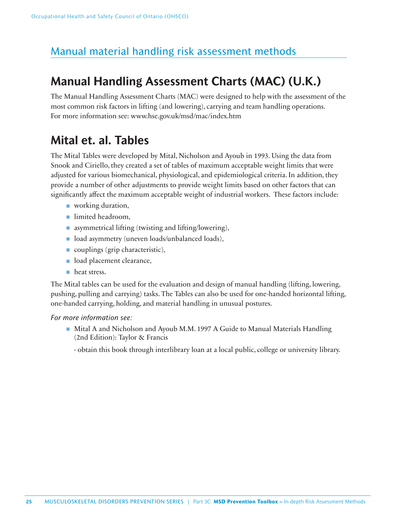# Manual material handling risk assessment methods

# **Manual Handling Assessment Charts (MAC) (U.K.)**

The Manual Handling Assessment Charts (MAC) were designed to help with the assessment of the most common risk factors in lifting (and lowering), carrying and team handling operations. For more information see: www.hse.gov.uk/msd/mac/index.htm

# **Mital et. al. Tables**

The Mital Tables were developed by Mital, Nicholson and Ayoub in 1993. Using the data from Snook and Ciriello, they created a set of tables of maximum acceptable weight limits that were adjusted for various biomechanical, physiological, and epidemiological criteria. In addition, they provide a number of other adjustments to provide weight limits based on other factors that can significantly affect the maximum acceptable weight of industrial workers. These factors include:

- working duration,
- limited headroom,
- asymmetrical lifting (twisting and lifting/lowering),
- load asymmetry (uneven loads/unbalanced loads),
- couplings (grip characteristic),
- load placement clearance,
- heat stress.

The Mital tables can be used for the evaluation and design of manual handling (lifting, lowering, pushing, pulling and carrying) tasks. The Tables can also be used for one-handed horizontal lifting, one-handed carrying, holding, and material handling in unusual postures.

### *For more information see:*

- Mital A and Nicholson and Ayoub M.M. 1997 A Guide to Manual Materials Handling (2nd Edition): Taylor & Francis
	- obtain this book through interlibrary loan at a local public, college or university library.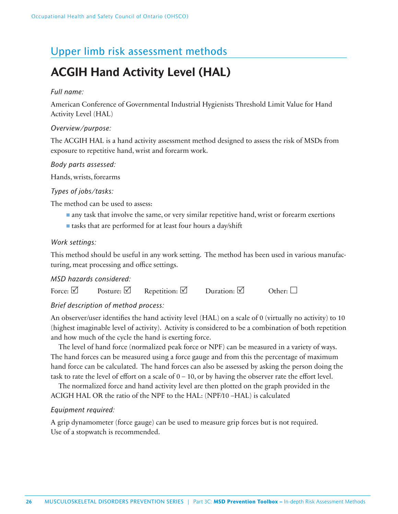# Upper limb risk assessment methods

# **ACGIH Hand Activity Level (HAL)**

### *Full name:*

American Conference of Governmental Industrial Hygienists Threshold Limit Value for Hand Activity Level (HAL)

### *Overview/purpose:*

The ACGIH HAL is a hand activity assessment method designed to assess the risk of MSDs from exposure to repetitive hand, wrist and forearm work.

### *Body parts assessed:*

Hands, wrists, forearms

### *Types of jobs/tasks:*

The method can be used to assess:

- any task that involve the same, or very similar repetitive hand, wrist or forearm exertions
- tasks that are performed for at least four hours a day/shift

### *Work settings:*

This method should be useful in any work setting. The method has been used in various manufacturing, meat processing and office settings.

### *MSD hazards considered:*

| Force: $\triangledown$ | Posture: $\triangledown$ | Repetition: $\Box$ | Duration: $\triangledown$ | Other: $\Box$ |
|------------------------|--------------------------|--------------------|---------------------------|---------------|
|------------------------|--------------------------|--------------------|---------------------------|---------------|

### *Brief description of method process:*

An observer/user identifies the hand activity level (HAL) on a scale of 0 (virtually no activity) to 10 (highest imaginable level of activity). Activity is considered to be a combination of both repetition and how much of the cycle the hand is exerting force.

The level of hand force (normalized peak force or NPF) can be measured in a variety of ways. The hand forces can be measured using a force gauge and from this the percentage of maximum hand force can be calculated. The hand forces can also be assessed by asking the person doing the task to rate the level of effort on a scale of  $0 - 10$ , or by having the observer rate the effort level.

The normalized force and hand activity level are then plotted on the graph provided in the ACIGH HAL OR the ratio of the NPF to the HAL: (NPF/10 –HAL) is calculated

### *Equipment required:*

A grip dynamometer (force gauge) can be used to measure grip forces but is not required. Use of a stopwatch is recommended.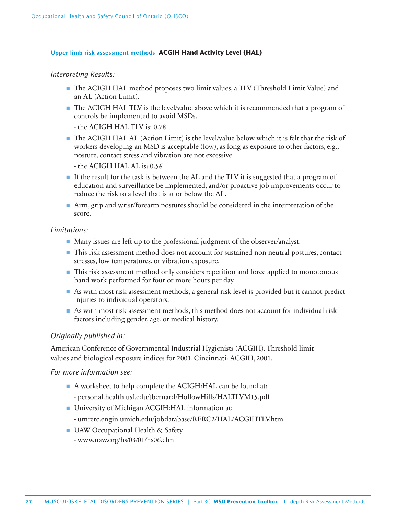### **Upper limb risk assessment methods ACGIH Hand Activity Level (HAL)**

### *Interpreting Results:*

- The ACIGH HAL method proposes two limit values, a TLV (Threshold Limit Value) and an AL (Action Limit).
- The ACIGH HAL TLV is the level/value above which it is recommended that a program of controls be implemented to avoid MSDs.

- the ACIGH HAL TLV is: 0.78

■ The ACIGH HAL AL (Action Limit) is the level/value below which it is felt that the risk of workers developing an MSD is acceptable (low), as long as exposure to other factors, e.g., posture, contact stress and vibration are not excessive.

- the ACIGH HAL AL is: 0.56

- If the result for the task is between the AL and the TLV it is suggested that a program of education and surveillance be implemented, and/or proactive job improvements occur to reduce the risk to a level that is at or below the AL.
- Arm, grip and wrist/forearm postures should be considered in the interpretation of the score.

### *Limitations:*

- Many issues are left up to the professional judgment of the observer/analyst.
- This risk assessment method does not account for sustained non-neutral postures, contact stresses, low temperatures, or vibration exposure.
- This risk assessment method only considers repetition and force applied to monotonous hand work performed for four or more hours per day.
- As with most risk assessment methods, a general risk level is provided but it cannot predict injuries to individual operators.
- As with most risk assessment methods, this method does not account for individual risk factors including gender, age, or medical history.

### *Originally published in:*

American Conference of Governmental Industrial Hygienists (ACGIH). Threshold limit values and biological exposure indices for 2001. Cincinnati: ACGIH, 2001.

### *For more information see:*

- A worksheet to help complete the ACIGH:HAL can be found at:
	- personal.health.usf.edu/tbernard/HollowHills/HALTLVM15.pdf
- University of Michigan ACGIH:HAL information at:
	- umrerc.engin.umich.edu/jobdatabase/RERC2/HAL/ACGIHTLV.htm
- UAW Occupational Health & Safety
	- www.uaw.org/hs/03/01/hs06.cfm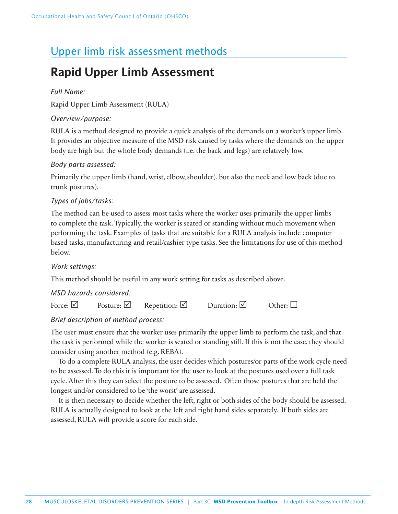# Upper limb risk assessment methods

# **Rapid Upper Limb Assessment**

### *Full Name:*

Rapid Upper Limb Assessment (RULA)

### *Overview/purpose:*

RULA is a method designed to provide a quick analysis of the demands on a worker's upper limb. It provides an objective measure of the MSD risk caused by tasks where the demands on the upper body are high but the whole body demands (i.e. the back and legs) are relatively low.

### *Body parts assessed:*

Primarily the upper limb (hand, wrist, elbow, shoulder), but also the neck and low back (due to trunk postures).

### *Types of jobs/tasks:*

The method can be used to assess most tasks where the worker uses primarily the upper limbs to complete the task. Typically, the worker is seated or standing without much movement when performing the task. Examples of tasks that are suitable for a RULA analysis include computer based tasks, manufacturing and retail/cashier type tasks. See the limitations for use of this method below.

### *Work settings:*

This method should be useful in any work setting for tasks as described above.

### *MSD hazards considered:*

| Posture: $\Box$<br>Force: $\vee$ | Repetition: $\triangledown$ | Duration: $\Box$ | Other: $\Box$ |
|----------------------------------|-----------------------------|------------------|---------------|
|----------------------------------|-----------------------------|------------------|---------------|

### *Brief description of method process:*

The user must ensure that the worker uses primarily the upper limb to perform the task, and that the task is performed while the worker is seated or standing still. If this is not the case, they should consider using another method (e.g. REBA).

To do a complete RULA analysis, the user decides which postures/or parts of the work cycle need to be assessed. To do this it is important for the user to look at the postures used over a full task cycle. After this they can select the posture to be assessed. Often those postures that are held the longest and/or considered to be 'the worst' are assessed.

It is then necessary to decide whether the left, right or both sides of the body should be assessed. RULA is actually designed to look at the left and right hand sides separately. If both sides are assessed, RULA will provide a score for each side.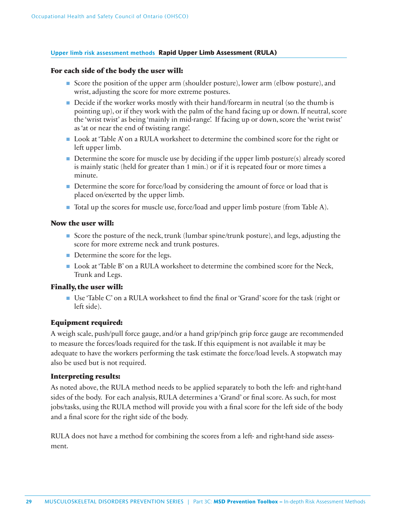### **Upper limb risk assessment methods Rapid Upper Limb Assessment (RULA)**

### **For each side of the body the user will:**

- Score the position of the upper arm (shoulder posture), lower arm (elbow posture), and wrist, adjusting the score for more extreme postures.
- Decide if the worker works mostly with their hand/forearm in neutral (so the thumb is pointing up), or if they work with the palm of the hand facing up or down. If neutral, score the 'wrist twist' as being 'mainly in mid-range'. If facing up or down, score the 'wrist twist' as 'at or near the end of twisting range'.
- Look at 'Table A' on a RULA worksheet to determine the combined score for the right or left upper limb.
- $\blacksquare$  Determine the score for muscle use by deciding if the upper limb posture(s) already scored is mainly static (held for greater than 1 min.) or if it is repeated four or more times a minute.
- Determine the score for force/load by considering the amount of force or load that is placed on/exerted by the upper limb.
- Total up the scores for muscle use, force/load and upper limb posture (from Table A).

### **Now the user will:**

- Score the posture of the neck, trunk (lumbar spine/trunk posture), and legs, adjusting the score for more extreme neck and trunk postures.
- Determine the score for the legs.
- Look at 'Table B' on a RULA worksheet to determine the combined score for the Neck, Trunk and Legs.

### **Finally, the user will:**

■ Use 'Table C' on a RULA worksheet to find the final or 'Grand' score for the task (right or left side).

### **Equipment required:**

A weigh scale, push/pull force gauge, and/or a hand grip/pinch grip force gauge are recommended to measure the forces/loads required for the task. If this equipment is not available it may be adequate to have the workers performing the task estimate the force/load levels. A stopwatch may also be used but is not required.

### **Interpreting results:**

As noted above, the RULA method needs to be applied separately to both the left- and right-hand sides of the body. For each analysis, RULA determines a 'Grand' or final score. As such, for most jobs/tasks, using the RULA method will provide you with a final score for the left side of the body and a final score for the right side of the body.

RULA does not have a method for combining the scores from a left- and right-hand side assessment.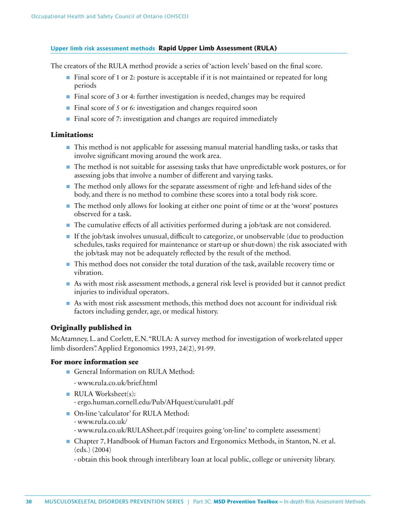### **Upper limb risk assessment methods Rapid Upper Limb Assessment (RULA)**

The creators of the RULA method provide a series of 'action levels' based on the final score.

- Final score of 1 or 2: posture is acceptable if it is not maintained or repeated for long periods
- Final score of 3 or 4: further investigation is needed, changes may be required
- Final score of 5 or 6: investigation and changes required soon
- Final score of 7: investigation and changes are required immediately

### **Limitations:**

- This method is not applicable for assessing manual material handling tasks, or tasks that involve significant moving around the work area.
- The method is not suitable for assessing tasks that have unpredictable work postures, or for assessing jobs that involve a number of different and varying tasks.
- The method only allows for the separate assessment of right- and left-hand sides of the body, and there is no method to combine these scores into a total body risk score.
- The method only allows for looking at either one point of time or at the 'worst' postures observed for a task.
- The cumulative effects of all activities performed during a job/task are not considered.
- If the job/task involves unusual, difficult to categorize, or unobservable (due to production schedules, tasks required for maintenance or start-up or shut-down) the risk associated with the job/task may not be adequately reflected by the result of the method.
- This method does not consider the total duration of the task, available recovery time or vibration.
- As with most risk assessment methods, a general risk level is provided but it cannot predict injuries to individual operators.
- As with most risk assessment methods, this method does not account for individual risk factors including gender, age, or medical history.

### **Originally published in**

McAtamney, L. and Corlett, E.N. "RULA: A survey method for investigation of work-related upper limb disorders". Applied Ergonomics 1993, 24(2), 91-99.

### **For more information see**

- General Information on RULA Method:
	- www.rula.co.uk/brief.html
- RULA Worksheet(s): - ergo.human.cornell.edu/Pub/AHquest/curula01.pdf
- On-line 'calculator' for RULA Method:
	- www.rula.co.uk/
	- www.rula.co.uk/RULASheet.pdf (requires going 'on-line' to complete assessment)
- Chapter 7, Handbook of Human Factors and Ergonomics Methods, in Stanton, N. et al. (eds.) (2004)
	- obtain this book through interlibrary loan at local public, college or university library.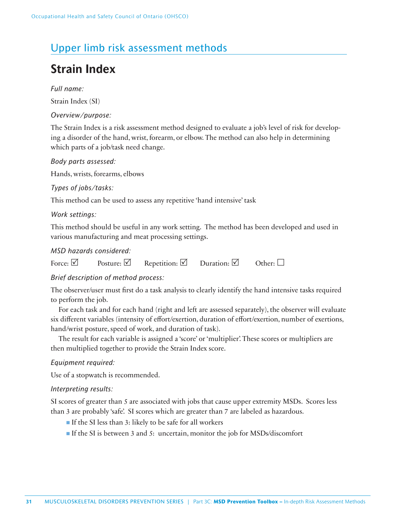# Upper limb risk assessment methods

# **Strain Index**

*Full name:*

Strain Index (SI)

*Overview/purpose:*

The Strain Index is a risk assessment method designed to evaluate a job's level of risk for developing a disorder of the hand, wrist, forearm, or elbow. The method can also help in determining which parts of a job/task need change.

### *Body parts assessed:*

Hands, wrists, forearms, elbows

*Types of jobs/tasks:*

This method can be used to assess any repetitive 'hand intensive' task

### *Work settings:*

This method should be useful in any work setting. The method has been developed and used in various manufacturing and meat processing settings.

### *MSD hazards considered:*

Force:  $\boxtimes$  Posture:  $\boxtimes$  Repetition:  $\boxtimes$  Duration:  $\boxtimes$  Other:  $\square$ 

### *Brief description of method process:*

The observer/user must first do a task analysis to clearly identify the hand intensive tasks required to perform the job.

For each task and for each hand (right and left are assessed separately), the observer will evaluate six different variables (intensity of effort/exertion, duration of effort/exertion, number of exertions, hand/wrist posture, speed of work, and duration of task).

The result for each variable is assigned a 'score' or 'multiplier'. These scores or multipliers are then multiplied together to provide the Strain Index score.

### *Equipment required:*

Use of a stopwatch is recommended.

### *Interpreting results:*

SI scores of greater than 5 are associated with jobs that cause upper extremity MSDs. Scores less than 3 are probably 'safe'. SI scores which are greater than 7 are labeled as hazardous.

- If the SI less than 3: likely to be safe for all workers
- If the SI is between 3 and 5: uncertain, monitor the job for MSDs/discomfort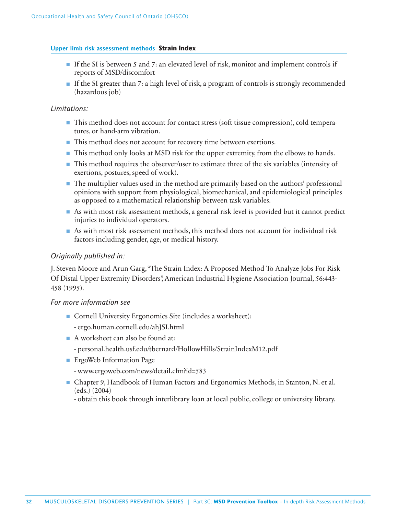### **Upper limb risk assessment methods Strain Index**

- If the SI is between 5 and 7: an elevated level of risk, monitor and implement controls if reports of MSD/discomfort
- If the SI greater than 7: a high level of risk, a program of controls is strongly recommended (hazardous job)

### *Limitations:*

- This method does not account for contact stress (soft tissue compression), cold temperatures, or hand-arm vibration.
- This method does not account for recovery time between exertions.
- This method only looks at MSD risk for the upper extremity, from the elbows to hands.
- This method requires the observer/user to estimate three of the six variables (intensity of exertions, postures, speed of work).
- The multiplier values used in the method are primarily based on the authors' professional opinions with support from physiological, biomechanical, and epidemiological principles as opposed to a mathematical relationship between task variables.
- As with most risk assessment methods, a general risk level is provided but it cannot predict injuries to individual operators.
- As with most risk assessment methods, this method does not account for individual risk factors including gender, age, or medical history.

### *Originally published in:*

J. Steven Moore and Arun Garg, "The Strain Index: A Proposed Method To Analyze Jobs For Risk Of Distal Upper Extremity Disorders", American Industrial Hygiene Association Journal, 56:443- 458 (1995).

### *For more information see*

- Cornell University Ergonomics Site (includes a worksheet):
	- ergo.human.cornell.edu/ahJSI.html
- A worksheet can also be found at:
	- personal.health.usf.edu/tbernard/HollowHills/StrainIndexM12.pdf
- ErgoWeb Information Page
	- www.ergoweb.com/news/detail.cfm?id=583
- Chapter 9, Handbook of Human Factors and Ergonomics Methods, in Stanton, N. et al. (eds.) (2004)
	- obtain this book through interlibrary loan at local public, college or university library.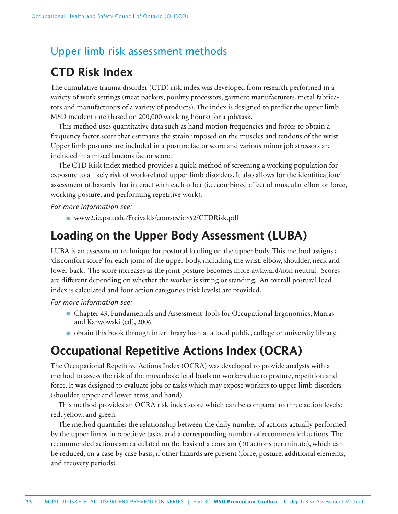# Upper limb risk assessment methods

# **CTD Risk Index**

The cumulative trauma disorder (CTD) risk index was developed from research performed in a variety of work settings (meat packers, poultry processors, garment manufacturers, metal fabricators and manufacturers of a variety of products). The index is designed to predict the upper limb MSD incident rate (based on 200,000 working hours) for a job/task.

This method uses quantitative data such as hand motion frequencies and forces to obtain a frequency factor score that estimates the strain imposed on the muscles and tendons of the wrist. Upper limb postures are included in a posture factor score and various minor job stressors are included in a miscellaneous factor score.

The CTD Risk Index method provides a quick method of screening a working population for exposure to a likely risk of work-related upper limb disorders. It also allows for the identification/ assessment of hazards that interact with each other (i.e. combined effect of muscular effort or force, working posture, and performing repetitive work).

### *For more information see:*

■ www2.ie.psu.edu/Freivalds/courses/ie552/CTDRisk.pdf

# **Loading on the Upper Body Assessment (LUBA)**

LUBA is an assessment technique for postural loading on the upper body. This method assigns a 'discomfort score' for each joint of the upper body, including the wrist, elbow, shoulder, neck and lower back. The score increases as the joint posture becomes more awkward/non-neutral. Scores are different depending on whether the worker is sitting or standing. An overall postural load index is calculated and four action categories (risk levels) are provided.

*For more information see:*

- Chapter 43, Fundamentals and Assessment Tools for Occupational Ergonomics, Marras and Karwowski (ed), 2006
- obtain this book through interlibrary loan at a local public, college or university library.

# **Occupational Repetitive Actions Index (OCRA)**

The Occupational Repetitive Actions Index (OCRA) was developed to provide analysts with a method to assess the risk of the musculoskeletal loads on workers due to posture, repetition and force. It was designed to evaluate jobs or tasks which may expose workers to upper limb disorders (shoulder, upper and lower arms, and hand).

This method provides an OCRA risk index score which can be compared to three action levels: red, yellow, and green.

The method quantifies the relationship between the daily number of actions actually performed by the upper limbs in repetitive tasks, and a corresponding number of recommended actions. The recommended actions are calculated on the basis of a constant (30 actions per minute), which can be reduced, on a case-by-case basis, if other hazards are present (force, posture, additional elements, and recovery periods).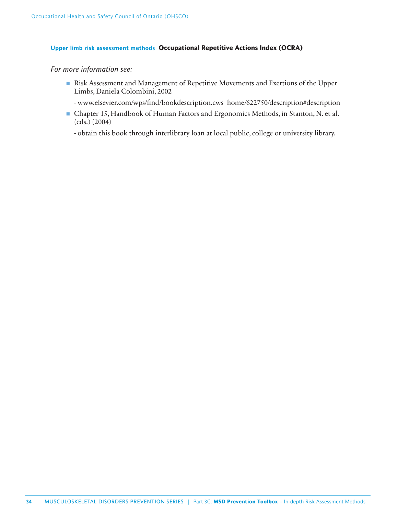### **Upper limb risk assessment methods Occupational Repetitive Actions Index (OCRA)**

### *For more information see:*

- Risk Assessment and Management of Repetitive Movements and Exertions of the Upper Limbs, Daniela Colombini, 2002
	- www.elsevier.com/wps/fi nd/bookdescription.cws\_home/622750/description#description
- Chapter 15, Handbook of Human Factors and Ergonomics Methods, in Stanton, N. et al. (eds.) (2004)

- obtain this book through interlibrary loan at local public, college or university library.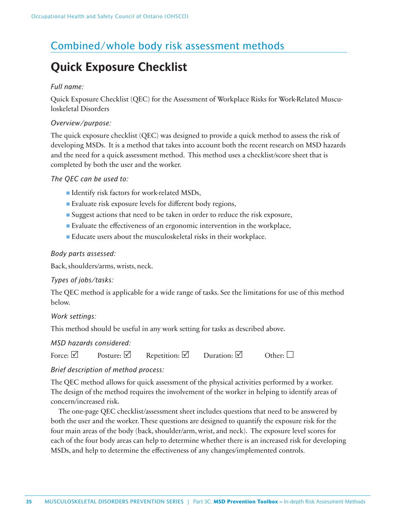# Combined/whole body risk assessment methods

# **Quick Exposure Checklist**

### *Full name:*

Quick Exposure Checklist (QEC) for the Assessment of Workplace Risks for Work-Related Musculoskeletal Disorders

### *Overview/purpose:*

The quick exposure checklist (QEC) was designed to provide a quick method to assess the risk of developing MSDs. It is a method that takes into account both the recent research on MSD hazards and the need for a quick assessment method. This method uses a checklist/score sheet that is completed by both the user and the worker.

### *The QEC can be used to:*

- Identify risk factors for work-related MSDs,
- $\blacksquare$  Evaluate risk exposure levels for different body regions,
- Suggest actions that need to be taken in order to reduce the risk exposure,
- Evaluate the effectiveness of an ergonomic intervention in the workplace,
- Educate users about the musculoskeletal risks in their workplace.

### *Body parts assessed:*

Back, shoulders/arms, wrists, neck.

### *Types of jobs/tasks:*

The QEC method is applicable for a wide range of tasks. See the limitations for use of this method below.

### *Work settings:*

This method should be useful in any work setting for tasks as described above.

*MSD hazards considered:*

| Force: $\vee$ | Posture: $\vee$ | Repetition: $\vee$ | Duration: $\vee$ | Other: $\Box$ |
|---------------|-----------------|--------------------|------------------|---------------|
|---------------|-----------------|--------------------|------------------|---------------|

### *Brief description of method process:*

The QEC method allows for quick assessment of the physical activities performed by a worker. The design of the method requires the involvement of the worker in helping to identify areas of concern/increased risk.

The one-page QEC checklist/assessment sheet includes questions that need to be answered by both the user and the worker. These questions are designed to quantify the exposure risk for the four main areas of the body (back, shoulder/arm, wrist, and neck). The exposure level scores for each of the four body areas can help to determine whether there is an increased risk for developing MSDs, and help to determine the effectiveness of any changes/implemented controls.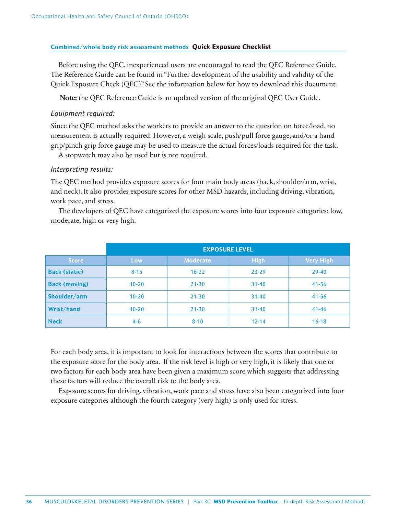### **Combined/whole body risk assessment methods Quick Exposure Checklist**

Before using the QEC, inexperienced users are encouraged to read the QEC Reference Guide. The Reference Guide can be found in "Further development of the usability and validity of the Quick Exposure Check (QEC)". See the information below for how to download this document.

**Note:** the QEC Reference Guide is an updated version of the original QEC User Guide.

### *Equipment required:*

Since the QEC method asks the workers to provide an answer to the question on force/load, no measurement is actually required. However, a weigh scale, push/pull force gauge, and/or a hand grip/pinch grip force gauge may be used to measure the actual forces/loads required for the task.

A stopwatch may also be used but is not required.

### *Interpreting results:*

The QEC method provides exposure scores for four main body areas (back, shoulder/arm, wrist, and neck). It also provides exposure scores for other MSD hazards, including driving, vibration, work pace, and stress.

The developers of QEC have categorized the exposure scores into four exposure categories: low, moderate, high or very high.

|                      | <b>EXPOSURE LEVEL</b> |                 |             |                  |
|----------------------|-----------------------|-----------------|-------------|------------------|
| <b>Score</b>         | Low                   | <b>Moderate</b> | <b>High</b> | <b>Very High</b> |
| <b>Back (static)</b> | $8 - 15$              | $16 - 22$       | $23 - 29$   | $29 - 40$        |
| <b>Back (moving)</b> | $10 - 20$             | $21 - 30$       | $31 - 40$   | $41 - 56$        |
| Shoulder/arm         | $10 - 20$             | $21 - 30$       | $31 - 40$   | $41 - 56$        |
| Wrist/hand           | $10 - 20$             | $21 - 30$       | $31 - 40$   | $41 - 46$        |
| <b>Neck</b>          | $4 - 6$               | $8 - 10$        | $12 - 14$   | $16 - 18$        |

For each body area, it is important to look for interactions between the scores that contribute to the exposure score for the body area. If the risk level is high or very high, it is likely that one or two factors for each body area have been given a maximum score which suggests that addressing these factors will reduce the overall risk to the body area.

Exposure scores for driving, vibration, work pace and stress have also been categorized into four exposure categories although the fourth category (very high) is only used for stress.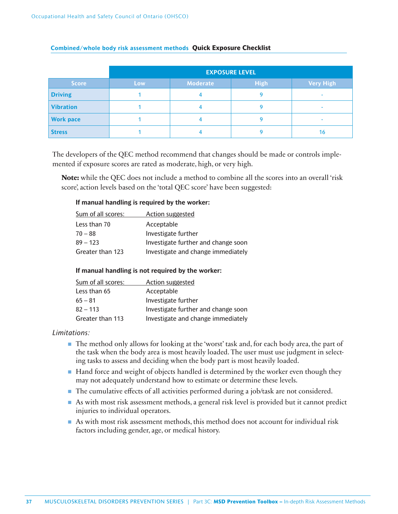|                  | <b>EXPOSURE LEVEL</b> |                 |             |                  |
|------------------|-----------------------|-----------------|-------------|------------------|
| <b>Score</b>     | Low                   | <b>Moderate</b> | <b>High</b> | <b>Very High</b> |
| <b>Driving</b>   |                       |                 |             |                  |
| <b>Vibration</b> |                       |                 |             |                  |
| <b>Work pace</b> |                       |                 |             | -                |
| <b>Stress</b>    |                       |                 |             | 16               |

### **Combined/whole body risk assessment methods Quick Exposure Checklist**

The developers of the QEC method recommend that changes should be made or controls implemented if exposure scores are rated as moderate, high, or very high.

**Note:** while the QEC does not include a method to combine all the scores into an overall 'risk score', action levels based on the 'total QEC score' have been suggested:

### **If manual handling is required by the worker:**

| Sum of all scores: | <b>Action suggested</b>             |
|--------------------|-------------------------------------|
| Less than 70       | Acceptable                          |
| $70 - 88$          | Investigate further                 |
| $89 - 123$         | Investigate further and change soon |
| Greater than 123   | Investigate and change immediately  |

### **If manual handling is not required by the worker:**

| Sum of all scores: | Action suggested                    |
|--------------------|-------------------------------------|
| Less than 65       | Acceptable                          |
| $65 - 81$          | Investigate further                 |
| $82 - 113$         | Investigate further and change soon |
| Greater than 113   | Investigate and change immediately  |

### *Limitations:*

- The method only allows for looking at the 'worst' task and, for each body area, the part of the task when the body area is most heavily loaded. The user must use judgment in selecting tasks to assess and deciding when the body part is most heavily loaded.
- Hand force and weight of objects handled is determined by the worker even though they may not adequately understand how to estimate or determine these levels.
- The cumulative effects of all activities performed during a job/task are not considered.
- As with most risk assessment methods, a general risk level is provided but it cannot predict injuries to individual operators.
- As with most risk assessment methods, this method does not account for individual risk factors including gender, age, or medical history.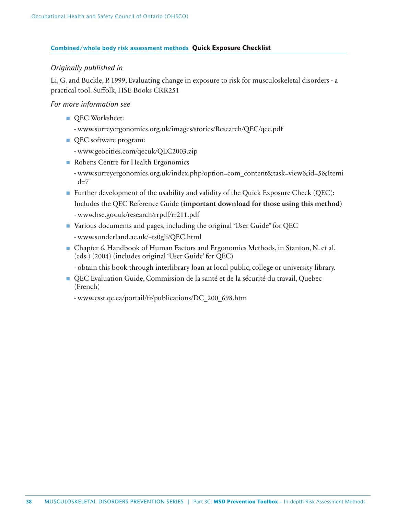### **Combined/whole body risk assessment methods Quick Exposure Checklist**

### *Originally published in*

Li, G. and Buckle, P. 1999, Evaluating change in exposure to risk for musculoskeletal disorders - a practical tool. Suffolk, HSE Books CRR251

### *For more information see*

- QEC Worksheet:
	- www.surreyergonomics.org.uk/images/stories/Research/QEC/qec.pdf
- QEC software program:
	- www.geocities.com/qecuk/QEC2003.zip
- Robens Centre for Health Ergonomics
	- www.surreyergonomics.org.uk/index.php?option=com\_content&task=view&id=5&Itemi  $d=7$
- Further development of the usability and validity of the Quick Exposure Check (QEC): Includes the QEC Reference Guide **(important download for those using this method)** - www.hse.gov.uk/research/rrpdf/rr211.pdf
- Various documents and pages, including the original 'User Guide" for QEC - www.sunderland.ac.uk/~ts0gli/QEC.html
- Chapter 6, Handbook of Human Factors and Ergonomics Methods, in Stanton, N. et al. (eds.) (2004) (includes original 'User Guide' for QEC)
	- obtain this book through interlibrary loan at local public, college or university library.
- QEC Evaluation Guide, Commission de la santé et de la sécurité du travail, Quebec (French)
	- www.csst.qc.ca/portail/fr/publications/DC\_200\_698.htm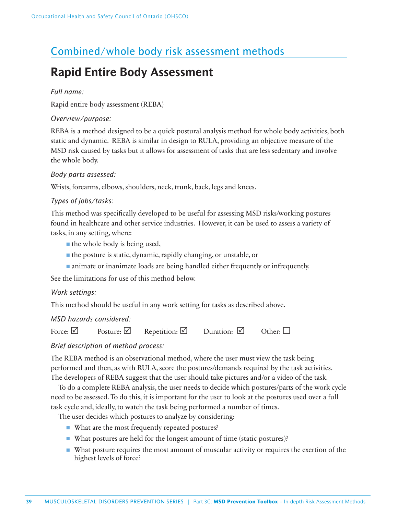# Combined/whole body risk assessment methods

# **Rapid Entire Body Assessment**

### *Full name:*

Rapid entire body assessment (REBA)

### *Overview/purpose:*

REBA is a method designed to be a quick postural analysis method for whole body activities, both static and dynamic. REBA is similar in design to RULA, providing an objective measure of the MSD risk caused by tasks but it allows for assessment of tasks that are less sedentary and involve the whole body.

### *Body parts assessed:*

Wrists, forearms, elbows, shoulders, neck, trunk, back, legs and knees.

### *Types of jobs/tasks:*

This method was specifically developed to be useful for assessing MSD risks/working postures found in healthcare and other service industries. However, it can be used to assess a variety of tasks, in any setting, where:

- the whole body is being used,
- the posture is static, dynamic, rapidly changing, or unstable, or
- animate or inanimate loads are being handled either frequently or infrequently.

See the limitations for use of this method below.

### *Work settings:*

This method should be useful in any work setting for tasks as described above.

### *MSD hazards considered:*

Force:  $\boxtimes$  Posture:  $\boxtimes$  Repetition:  $\boxtimes$  Duration:  $\boxtimes$  Other:  $\square$ 

### *Brief description of method process:*

The REBA method is an observational method, where the user must view the task being performed and then, as with RULA, score the postures/demands required by the task activities. The developers of REBA suggest that the user should take pictures and/or a video of the task.

To do a complete REBA analysis, the user needs to decide which postures/parts of the work cycle need to be assessed. To do this, it is important for the user to look at the postures used over a full task cycle and, ideally, to watch the task being performed a number of times.

The user decides which postures to analyze by considering:

- What are the most frequently repeated postures?
- What postures are held for the longest amount of time (static postures)?
- What posture requires the most amount of muscular activity or requires the exertion of the highest levels of force?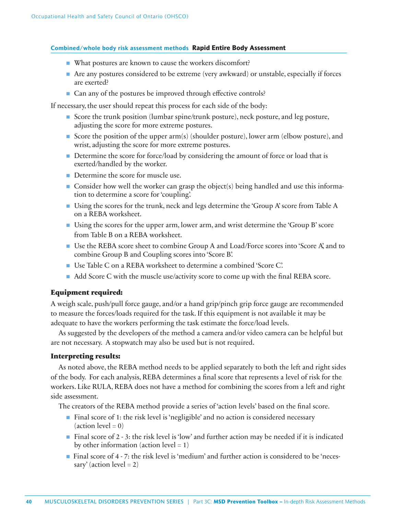### **Combined/whole body risk assessment methods Rapid Entire Body Assessment**

- What postures are known to cause the workers discomfort?
- Are any postures considered to be extreme (very awkward) or unstable, especially if forces are exerted?
- Can any of the postures be improved through effective controls?

If necessary, the user should repeat this process for each side of the body:

- Score the trunk position (lumbar spine/trunk posture), neck posture, and leg posture, adjusting the score for more extreme postures.
- Score the position of the upper arm(s) (shoulder posture), lower arm (elbow posture), and wrist, adjusting the score for more extreme postures.
- Determine the score for force/load by considering the amount of force or load that is exerted/handled by the worker.
- Determine the score for muscle use.
- Consider how well the worker can grasp the object(s) being handled and use this information to determine a score for 'coupling'.
- Using the scores for the trunk, neck and legs determine the 'Group A' score from Table A on a REBA worksheet.
- Using the scores for the upper arm, lower arm, and wrist determine the 'Group B' score from Table B on a REBA worksheet.
- Use the REBA score sheet to combine Group A and Load/Force scores into 'Score A', and to combine Group B and Coupling scores into 'Score B'.
- Use Table C on a REBA worksheet to determine a combined 'Score C'.
- $\blacksquare$  Add Score C with the muscle use/activity score to come up with the final REBA score.

### **Equipment required:**

A weigh scale, push/pull force gauge, and/or a hand grip/pinch grip force gauge are recommended to measure the forces/loads required for the task. If this equipment is not available it may be adequate to have the workers performing the task estimate the force/load levels.

As suggested by the developers of the method a camera and/or video camera can be helpful but are not necessary. A stopwatch may also be used but is not required.

### **Interpreting results:**

As noted above, the REBA method needs to be applied separately to both the left and right sides of the body. For each analysis, REBA determines a final score that represents a level of risk for the workers. Like RULA, REBA does not have a method for combining the scores from a left and right side assessment.

The creators of the REBA method provide a series of 'action levels' based on the final score.

- Final score of 1: the risk level is 'negligible' and no action is considered necessary  $(\arctan level = 0)$
- Final score of 2 3: the risk level is 'low' and further action may be needed if it is indicated by other information (action level  $= 1$ )
- Final score of 4 7: the risk level is 'medium' and further action is considered to be 'necessary' (action  $level = 2$ )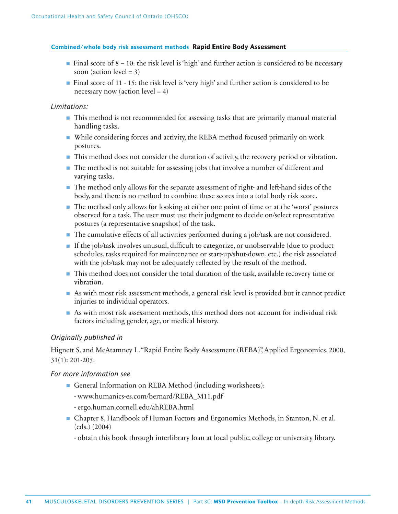### **Combined/whole body risk assessment methods Rapid Entire Body Assessment**

- $\blacksquare$  Final score of 8 10: the risk level is 'high' and further action is considered to be necessary soon (action level  $= 3$ )
- Final score of 11 15: the risk level is 'very high' and further action is considered to be necessary now (action level  $= 4$ )

### *Limitations:*

- This method is not recommended for assessing tasks that are primarily manual material handling tasks.
- While considering forces and activity, the REBA method focused primarily on work postures.
- This method does not consider the duration of activity, the recovery period or vibration.
- The method is not suitable for assessing jobs that involve a number of different and varying tasks.
- The method only allows for the separate assessment of right- and left-hand sides of the body, and there is no method to combine these scores into a total body risk score.
- The method only allows for looking at either one point of time or at the 'worst' postures observed for a task. The user must use their judgment to decide on/select representative postures (a representative snapshot) of the task.
- The cumulative effects of all activities performed during a job/task are not considered.
- If the job/task involves unusual, difficult to categorize, or unobservable (due to product schedules, tasks required for maintenance or start-up/shut-down, etc.) the risk associated with the job/task may not be adequately reflected by the result of the method.
- This method does not consider the total duration of the task, available recovery time or vibration.
- As with most risk assessment methods, a general risk level is provided but it cannot predict injuries to individual operators.
- As with most risk assessment methods, this method does not account for individual risk factors including gender, age, or medical history.

### *Originally published in*

Hignett S, and McAtamney L. "Rapid Entire Body Assessment (REBA)", Applied Ergonomics, 2000, 31(1): 201-205.

### *For more information see*

- General Information on REBA Method (including worksheets):
	- www.humanics-es.com/bernard/REBA\_M11.pdf
	- ergo.human.cornell.edu/ahREBA.html
- Chapter 8, Handbook of Human Factors and Ergonomics Methods, in Stanton, N. et al. (eds.) (2004)

- obtain this book through interlibrary loan at local public, college or university library.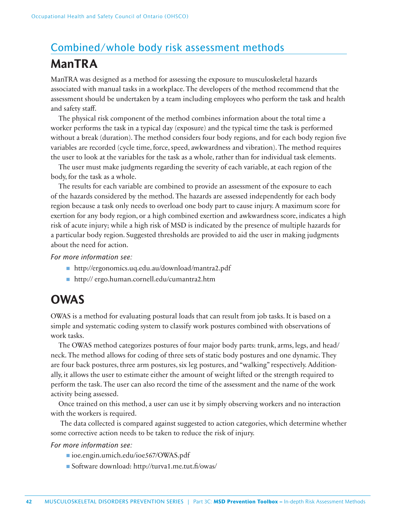# Combined/whole body risk assessment methods **ManTRA**

ManTRA was designed as a method for assessing the exposure to musculoskeletal hazards associated with manual tasks in a workplace. The developers of the method recommend that the assessment should be undertaken by a team including employees who perform the task and health and safety staff.

The physical risk component of the method combines information about the total time a worker performs the task in a typical day (exposure) and the typical time the task is performed without a break (duration). The method considers four body regions, and for each body region five variables are recorded (cycle time, force, speed, awkwardness and vibration). The method requires the user to look at the variables for the task as a whole, rather than for individual task elements.

The user must make judgments regarding the severity of each variable, at each region of the body, for the task as a whole.

The results for each variable are combined to provide an assessment of the exposure to each of the hazards considered by the method. The hazards are assessed independently for each body region because a task only needs to overload one body part to cause injury. A maximum score for exertion for any body region, or a high combined exertion and awkwardness score, indicates a high risk of acute injury; while a high risk of MSD is indicated by the presence of multiple hazards for a particular body region. Suggested thresholds are provided to aid the user in making judgments about the need for action.

*For more information see:*

- http://ergonomics.uq.edu.au/download/mantra2.pdf
- http:// ergo.human.cornell.edu/cumantra2.htm

# **OWAS**

OWAS is a method for evaluating postural loads that can result from job tasks. It is based on a simple and systematic coding system to classify work postures combined with observations of work tasks.

The OWAS method categorizes postures of four major body parts: trunk, arms, legs, and head/ neck. The method allows for coding of three sets of static body postures and one dynamic. They are four back postures, three arm postures, six leg postures, and "walking" respectively. Additionally, it allows the user to estimate either the amount of weight lifted or the strength required to perform the task. The user can also record the time of the assessment and the name of the work activity being assessed.

Once trained on this method, a user can use it by simply observing workers and no interaction with the workers is required.

 The data collected is compared against suggested to action categories, which determine whether some corrective action needs to be taken to reduce the risk of injury.

*For more information see:*

- ioe.engin.umich.edu/ioe567/OWAS.pdf
- Software download: http://turva1.me.tut.fi/owas/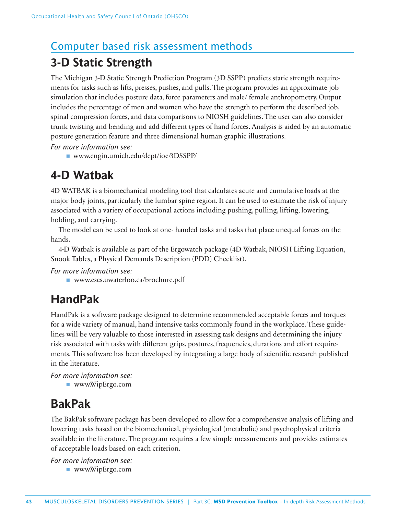# Computer based risk assessment methods

# **3-D Static Strength**

The Michigan 3-D Static Strength Prediction Program (3D SSPP) predicts static strength requirements for tasks such as lifts, presses, pushes, and pulls. The program provides an approximate job simulation that includes posture data, force parameters and male/ female anthropometry. Output includes the percentage of men and women who have the strength to perform the described job, spinal compression forces, and data comparisons to NIOSH guidelines. The user can also consider trunk twisting and bending and add different types of hand forces. Analysis is aided by an automatic posture generation feature and three dimensional human graphic illustrations.

*For more information see:* 

■ www.engin.umich.edu/dept/ioe/3DSSPP/

# **4-D Watbak**

4D WATBAK is a biomechanical modeling tool that calculates acute and cumulative loads at the major body joints, particularly the lumbar spine region. It can be used to estimate the risk of injury associated with a variety of occupational actions including pushing, pulling, lifting, lowering, holding, and carrying.

The model can be used to look at one- handed tasks and tasks that place unequal forces on the hands.

4-D Watbak is available as part of the Ergowatch package (4D Watbak, NIOSH Lifting Equation, Snook Tables, a Physical Demands Description (PDD) Checklist).

*For more information see:* 

■ www.escs.uwaterloo.ca/brochure.pdf

# **HandPak**

HandPak is a software package designed to determine recommended acceptable forces and torques for a wide variety of manual, hand intensive tasks commonly found in the workplace. These guidelines will be very valuable to those interested in assessing task designs and determining the injury risk associated with tasks with different grips, postures, frequencies, durations and effort requirements. This software has been developed by integrating a large body of scientific research published in the literature.

*For more information see:*  ■ www.WipErgo.com

# **BakPak**

The BakPak software package has been developed to allow for a comprehensive analysis of lifting and lowering tasks based on the biomechanical, physiological (metabolic) and psychophysical criteria available in the literature. The program requires a few simple measurements and provides estimates of acceptable loads based on each criterion.

*For more information see:*  ■ www.WipErgo.com